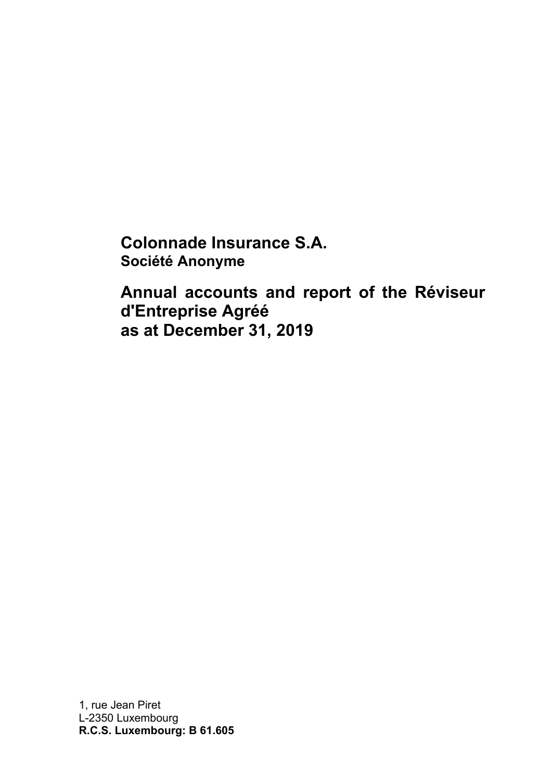**Colonnade Insurance S.A. Société Anonyme**

**Annual accounts and report of the Réviseur d'Entreprise Agréé as at December 31, 2019** 

1, rue Jean Piret L-2350 Luxembourg **R.C.S. Luxembourg: B 61.605**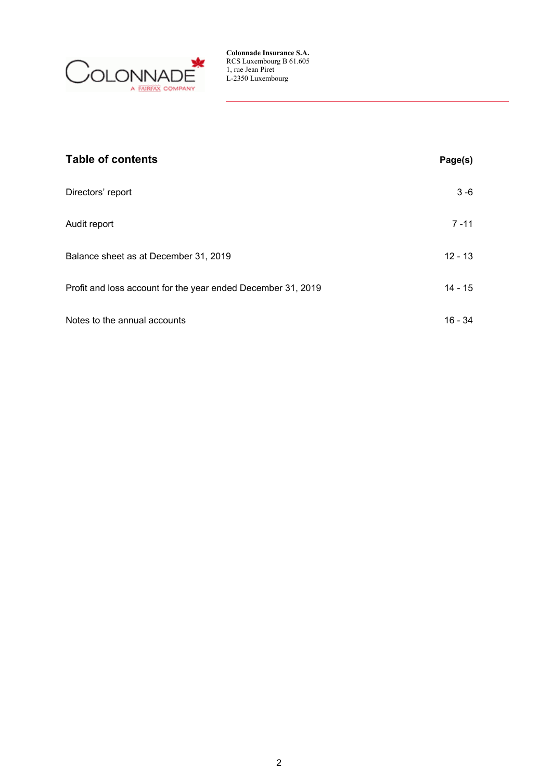

| <b>Table of contents</b>                                     | Page(s)   |
|--------------------------------------------------------------|-----------|
| Directors' report                                            | 3 - 6     |
| Audit report                                                 | $7 - 11$  |
| Balance sheet as at December 31, 2019                        | $12 - 13$ |
| Profit and loss account for the year ended December 31, 2019 | 14 - 15   |
| Notes to the annual accounts                                 | 16 - 34   |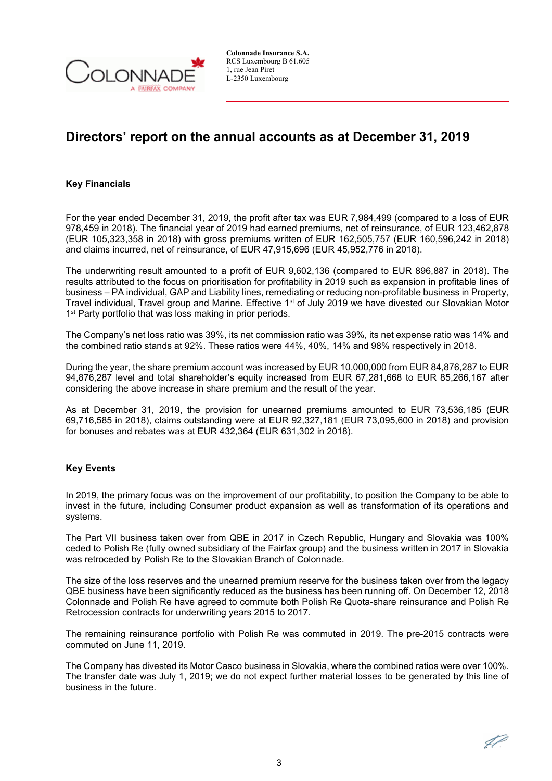

## **Directors' report on the annual accounts as at December 31, 2019**

### **Key Financials**

For the year ended December 31, 2019, the profit after tax was EUR 7,984,499 (compared to a loss of EUR 978,459 in 2018). The financial year of 2019 had earned premiums, net of reinsurance, of EUR 123,462,878 (EUR 105,323,358 in 2018) with gross premiums written of EUR 162,505,757 (EUR 160,596,242 in 2018) and claims incurred, net of reinsurance, of EUR 47,915,696 (EUR 45,952,776 in 2018).

The underwriting result amounted to a profit of EUR 9,602,136 (compared to EUR 896,887 in 2018). The results attributed to the focus on prioritisation for profitability in 2019 such as expansion in profitable lines of business – PA individual, GAP and Liability lines, remediating or reducing non-profitable business in Property, Travel individual, Travel group and Marine. Effective 1<sup>st</sup> of July 2019 we have divested our Slovakian Motor 1<sup>st</sup> Party portfolio that was loss making in prior periods.

The Company's net loss ratio was 39%, its net commission ratio was 39%, its net expense ratio was 14% and the combined ratio stands at 92%. These ratios were 44%, 40%, 14% and 98% respectively in 2018.

During the year, the share premium account was increased by EUR 10,000,000 from EUR 84,876,287 to EUR 94,876,287 level and total shareholder's equity increased from EUR 67,281,668 to EUR 85,266,167 after considering the above increase in share premium and the result of the year.

As at December 31, 2019, the provision for unearned premiums amounted to EUR 73,536,185 (EUR 69,716,585 in 2018), claims outstanding were at EUR 92,327,181 (EUR 73,095,600 in 2018) and provision for bonuses and rebates was at EUR 432,364 (EUR 631,302 in 2018).

### **Key Events**

In 2019, the primary focus was on the improvement of our profitability, to position the Company to be able to invest in the future, including Consumer product expansion as well as transformation of its operations and systems.

The Part VII business taken over from QBE in 2017 in Czech Republic, Hungary and Slovakia was 100% ceded to Polish Re (fully owned subsidiary of the Fairfax group) and the business written in 2017 in Slovakia was retroceded by Polish Re to the Slovakian Branch of Colonnade.

The size of the loss reserves and the unearned premium reserve for the business taken over from the legacy QBE business have been significantly reduced as the business has been running off. On December 12, 2018 Colonnade and Polish Re have agreed to commute both Polish Re Quota-share reinsurance and Polish Re Retrocession contracts for underwriting years 2015 to 2017.

The remaining reinsurance portfolio with Polish Re was commuted in 2019. The pre-2015 contracts were commuted on June 11, 2019.

The Company has divested its Motor Casco business in Slovakia, where the combined ratios were over 100%. The transfer date was July 1, 2019; we do not expect further material losses to be generated by this line of business in the future.

47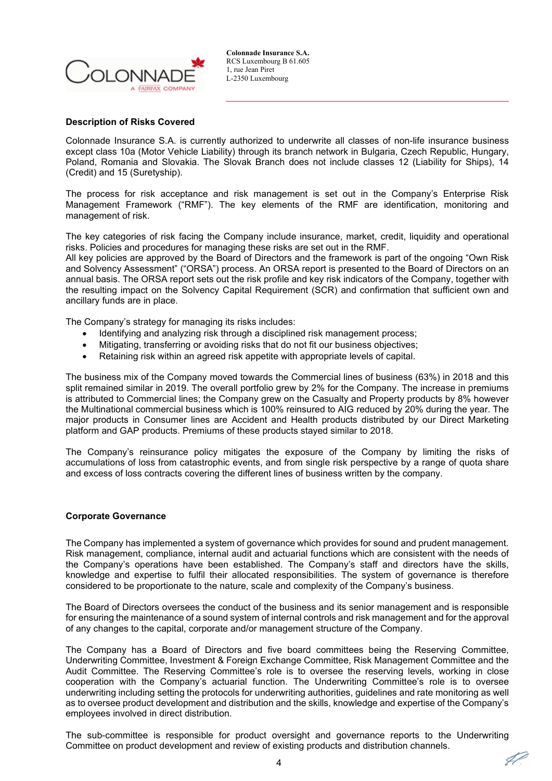

### **Description of Risks Covered**

Colonnade Insurance S.A. is currently authorized to underwrite all classes of non-life insurance business except class 10a (Motor Vehicle Liability) through its branch network in Bulgaria, Czech Republic, Hungary, Poland, Romania and Slovakia. The Slovak Branch does not include classes 12 (Liability for Ships), 14 (Credit) and 15 (Suretyship).

The process for risk acceptance and risk management is set out in the Company's Enterprise Risk Management Framework ("RMF"). The key elements of the RMF are identification, monitoring and management of risk.

The key categories of risk facing the Company include insurance, market, credit, liquidity and operational risks. Policies and procedures for managing these risks are set out in the RMF.

All key policies are approved by the Board of Directors and the framework is part of the ongoing "Own Risk and Solvency Assessment" ("ORSA") process. An ORSA report is presented to the Board of Directors on an annual basis. The ORSA report sets out the risk profile and key risk indicators of the Company, together with the resulting impact on the Solvency Capital Requirement (SCR) and confirmation that sufficient own and ancillary funds are in place.

The Company's strategy for managing its risks includes:

- Identifying and analyzing risk through a disciplined risk management process;
- Mitigating, transferring or avoiding risks that do not fit our business objectives;
- Retaining risk within an agreed risk appetite with appropriate levels of capital.

The business mix of the Company moved towards the Commercial lines of business (63%) in 2018 and this split remained similar in 2019. The overall portfolio grew by 2% for the Company. The increase in premiums is attributed to Commercial lines; the Company grew on the Casualty and Property products by 8% however the Multinational commercial business which is 100% reinsured to AIG reduced by 20% during the year. The major products in Consumer lines are Accident and Health products distributed by our Direct Marketing platform and GAP products. Premiums of these products stayed similar to 2018.

The Company's reinsurance policy mitigates the exposure of the Company by limiting the risks of accumulations of loss from catastrophic events, and from single risk perspective by a range of quota share and excess of loss contracts covering the different lines of business written by the company.

### **Corporate Governance**

The Company has implemented a system of governance which provides for sound and prudent management. Risk management, compliance, internal audit and actuarial functions which are consistent with the needs of the Company's operations have been established. The Company's staff and directors have the skills, knowledge and expertise to fulfil their allocated responsibilities. The system of governance is therefore considered to be proportionate to the nature, scale and complexity of the Company's business.

The Board of Directors oversees the conduct of the business and its senior management and is responsible for ensuring the maintenance of a sound system of internal controls and risk management and for the approval of any changes to the capital, corporate and/or management structure of the Company.

The Company has a Board of Directors and five board committees being the Reserving Committee, Underwriting Committee, Investment & Foreign Exchange Committee, Risk Management Committee and the Audit Committee. The Reserving Committee's role is to oversee the reserving levels, working in close cooperation with the Company's actuarial function. The Underwriting Committee's role is to oversee underwriting including setting the protocols for underwriting authorities, guidelines and rate monitoring as well as to oversee product development and distribution and the skills, knowledge and expertise of the Company's employees involved in direct distribution.

The sub-committee is responsible for product oversight and governance reports to the Underwriting Committee on product development and review of existing products and distribution channels.

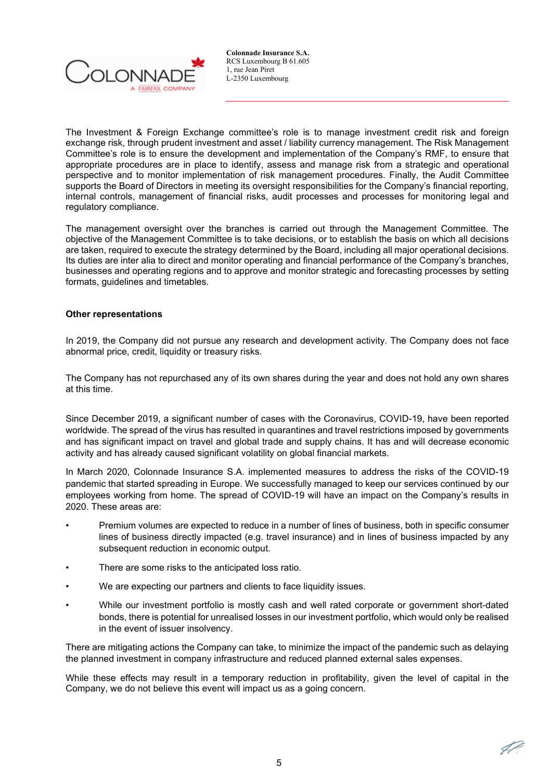

The Investment & Foreign Exchange committee's role is to manage investment credit risk and foreign exchange risk, through prudent investment and asset / liability currency management. The Risk Management Committee's role is to ensure the development and implementation of the Company's RMF, to ensure that appropriate procedures are in place to identify, assess and manage risk from a strategic and operational perspective and to monitor implementation of risk management procedures. Finally, the Audit Committee supports the Board of Directors in meeting its oversight responsibilities for the Company's financial reporting, internal controls, management of financial risks, audit processes and processes for monitoring legal and regulatory compliance.

The management oversight over the branches is carried out through the Management Committee. The objective of the Management Committee is to take decisions, or to establish the basis on which all decisions are taken, required to execute the strategy determined by the Board, including all major operational decisions. Its duties are inter alia to direct and monitor operating and financial performance of the Company's branches, businesses and operating regions and to approve and monitor strategic and forecasting processes by setting formats, guidelines and timetables.

### **Other representations**

In 2019, the Company did not pursue any research and development activity. The Company does not face abnormal price, credit, liquidity or treasury risks.

The Company has not repurchased any of its own shares during the year and does not hold any own shares at this time.

Since December 2019, a significant number of cases with the Coronavirus, COVID-19, have been reported worldwide. The spread of the virus has resulted in quarantines and travel restrictions imposed by governments and has significant impact on travel and global trade and supply chains. It has and will decrease economic activity and has already caused significant volatility on global financial markets.

In March 2020, Colonnade Insurance S.A. implemented measures to address the risks of the COVID-19 pandemic that started spreading in Europe. We successfully managed to keep our services continued by our employees working from home. The spread of COVID-19 will have an impact on the Company's results in 2020. These areas are:

- Premium volumes are expected to reduce in a number of lines of business, both in specific consumer lines of business directly impacted (e.g. travel insurance) and in lines of business impacted by any subsequent reduction in economic output.
- There are some risks to the anticipated loss ratio.
- We are expecting our partners and clients to face liquidity issues.
- While our investment portfolio is mostly cash and well rated corporate or government short-dated bonds, there is potential for unrealised losses in our investment portfolio, which would only be realised in the event of issuer insolvency.

There are mitigating actions the Company can take, to minimize the impact of the pandemic such as delaying the planned investment in company infrastructure and reduced planned external sales expenses.

While these effects may result in a temporary reduction in profitability, given the level of capital in the Company, we do not believe this event will impact us as a going concern.

IP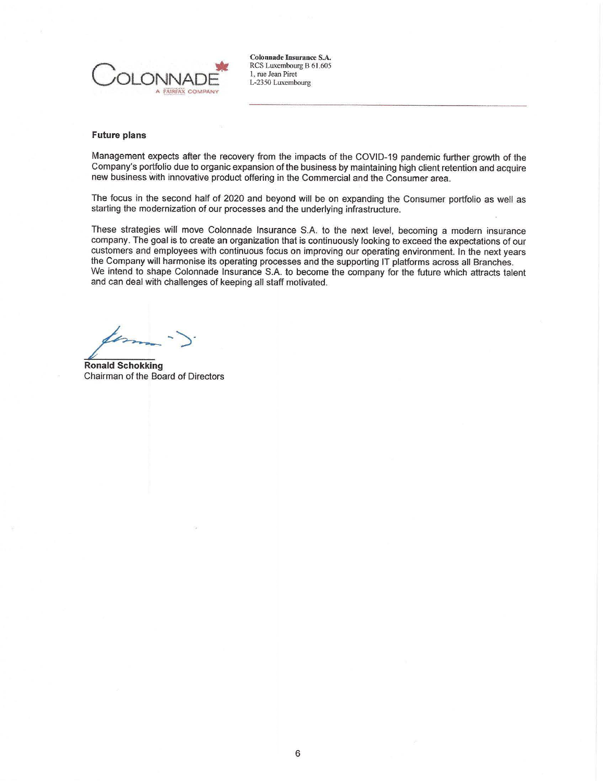

#### **Future plans**

Management expects after the recovery from the impacts of the COVID-19 pandemic further growth of the Company's portfolio due to organic expansion of the business by maintaining high client retention and acquire new business with innovative product offering in the Commercial and the Consumer area.

The focus in the second half of 2020 and beyond will be on expanding the Consumer portfolio as well as starting the modernization of our processes and the underlying infrastructure.

These strategies will move Colonnade Insurance S.A. to the next level, becoming a modern insurance company. The goal is to create an organization that is continuously looking to exceed the expectations of our customers and employees with continuous focus on improving our operating environment. In the next years the Company will harmonise its operating processes and the supporting IT platforms across all Branches. We intend to shape Colonnade Insurance S.A. to become the company for the future which attracts talent and can deal with challenges of keeping all staff motivated.

<sup>~</sup> -')·

**Ronald Schokking**  Chairman of the Board of Directors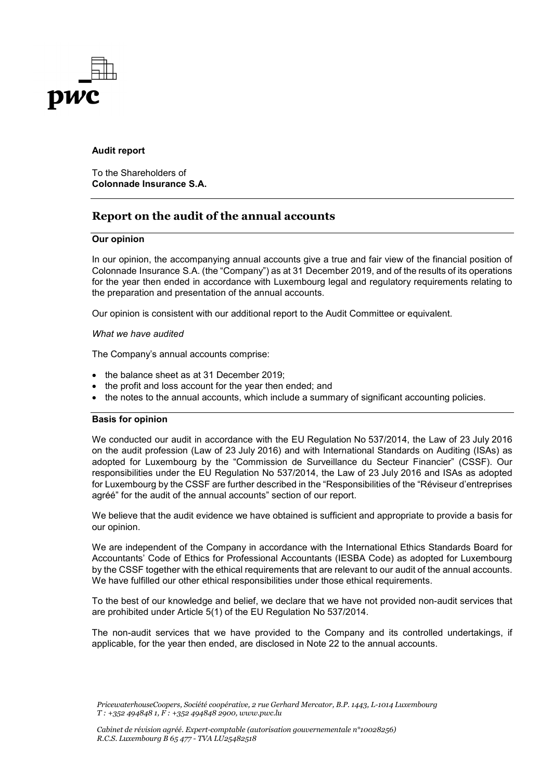

### **Audit report**

To the Shareholders of **Colonnade Insurance S.A.**

## **Report on the audit of the annual accounts**

### **Our opinion**

In our opinion, the accompanying annual accounts give a true and fair view of the financial position of Colonnade Insurance S.A. (the "Company") as at 31 December 2019, and of the results of its operations for the year then ended in accordance with Luxembourg legal and regulatory requirements relating to the preparation and presentation of the annual accounts.

Our opinion is consistent with our additional report to the Audit Committee or equivalent.

### *What we have audited*

The Company's annual accounts comprise:

- the balance sheet as at 31 December 2019:
- the profit and loss account for the year then ended; and
- the notes to the annual accounts, which include a summary of significant accounting policies.

### **Basis for opinion**

We conducted our audit in accordance with the EU Regulation No 537/2014, the Law of 23 July 2016 on the audit profession (Law of 23 July 2016) and with International Standards on Auditing (ISAs) as adopted for Luxembourg by the "Commission de Surveillance du Secteur Financier" (CSSF). Our responsibilities under the EU Regulation No 537/2014, the Law of 23 July 2016 and ISAs as adopted for Luxembourg by the CSSF are further described in the "Responsibilities of the "Réviseur d'entreprises agréé" for the audit of the annual accounts" section of our report.

We believe that the audit evidence we have obtained is sufficient and appropriate to provide a basis for our opinion.

We are independent of the Company in accordance with the International Ethics Standards Board for Accountants' Code of Ethics for Professional Accountants (IESBA Code) as adopted for Luxembourg by the CSSF together with the ethical requirements that are relevant to our audit of the annual accounts. We have fulfilled our other ethical responsibilities under those ethical requirements.

To the best of our knowledge and belief, we declare that we have not provided non-audit services that are prohibited under Article 5(1) of the EU Regulation No 537/2014.

The non-audit services that we have provided to the Company and its controlled undertakings, if applicable, for the year then ended, are disclosed in Note 22 to the annual accounts.

*PricewaterhouseCoopers, Société coopérative, 2 rue Gerhard Mercator, B.P. 1443, L-1014 Luxembourg T : +352 494848 1, F : +352 494848 2900, www.pwc.lu*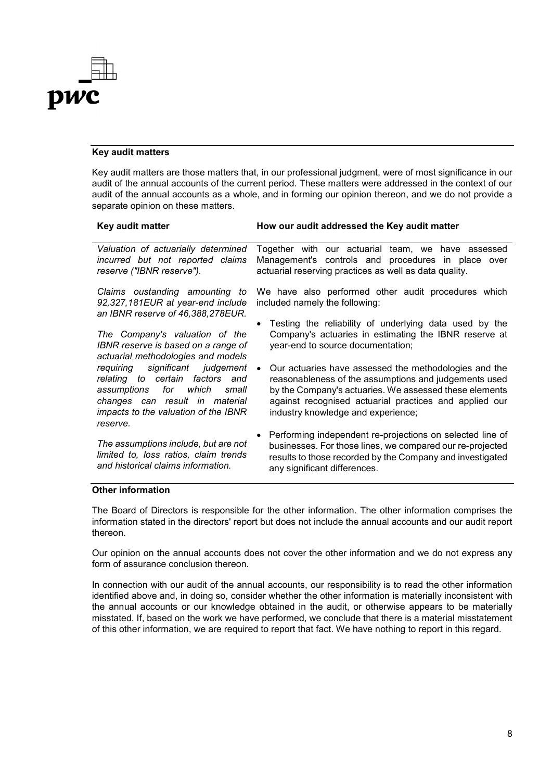

### **Key audit matters**

Key audit matters are those matters that, in our professional judgment, were of most significance in our audit of the annual accounts of the current period. These matters were addressed in the context of our audit of the annual accounts as a whole, and in forming our opinion thereon, and we do not provide a separate opinion on these matters.

| Key audit matter                                                                                                                                                                           | How our audit addressed the Key audit matter                                                                                                                                                                                                                             |
|--------------------------------------------------------------------------------------------------------------------------------------------------------------------------------------------|--------------------------------------------------------------------------------------------------------------------------------------------------------------------------------------------------------------------------------------------------------------------------|
| Valuation of actuarially determined<br>incurred but not reported claims<br>reserve ("IBNR reserve").                                                                                       | Together with our actuarial team, we have assessed<br>Management's controls and procedures in place over<br>actuarial reserving practices as well as data quality.                                                                                                       |
| Claims oustanding amounting to<br>92,327,181EUR at year-end include<br>an IBNR reserve of 46,388,278EUR.                                                                                   | We have also performed other audit procedures which<br>included namely the following:                                                                                                                                                                                    |
| The Company's valuation of the<br>IBNR reserve is based on a range of<br>actuarial methodologies and models                                                                                | Testing the reliability of underlying data used by the<br>Company's actuaries in estimating the IBNR reserve at<br>year-end to source documentation;                                                                                                                     |
| requiring significant judgement<br>relating to certain factors and<br>assumptions for which<br>small<br>changes can result in material<br>impacts to the valuation of the IBNR<br>reserve. | Our actuaries have assessed the methodologies and the<br>reasonableness of the assumptions and judgements used<br>by the Company's actuaries. We assessed these elements<br>against recognised actuarial practices and applied our<br>industry knowledge and experience; |
| The assumptions include, but are not<br>limited to, loss ratios, claim trends<br>and historical claims information.                                                                        | Performing independent re-projections on selected line of<br>businesses. For those lines, we compared our re-projected<br>results to those recorded by the Company and investigated<br>any significant differences.                                                      |

### **Other information**

The Board of Directors is responsible for the other information. The other information comprises the information stated in the directors' report but does not include the annual accounts and our audit report thereon.

Our opinion on the annual accounts does not cover the other information and we do not express any form of assurance conclusion thereon.

In connection with our audit of the annual accounts, our responsibility is to read the other information identified above and, in doing so, consider whether the other information is materially inconsistent with the annual accounts or our knowledge obtained in the audit, or otherwise appears to be materially misstated. If, based on the work we have performed, we conclude that there is a material misstatement of this other information, we are required to report that fact. We have nothing to report in this regard.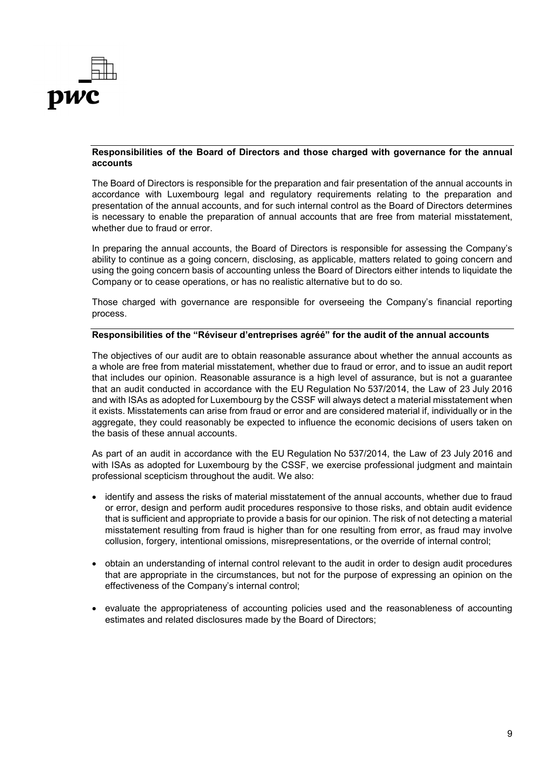

### **Responsibilities of the Board of Directors and those charged with governance for the annual accounts**

The Board of Directors is responsible for the preparation and fair presentation of the annual accounts in accordance with Luxembourg legal and regulatory requirements relating to the preparation and presentation of the annual accounts, and for such internal control as the Board of Directors determines is necessary to enable the preparation of annual accounts that are free from material misstatement, whether due to fraud or error.

In preparing the annual accounts, the Board of Directors is responsible for assessing the Company's ability to continue as a going concern, disclosing, as applicable, matters related to going concern and using the going concern basis of accounting unless the Board of Directors either intends to liquidate the Company or to cease operations, or has no realistic alternative but to do so.

Those charged with governance are responsible for overseeing the Company's financial reporting process.

#### **Responsibilities of the "Réviseur d'entreprises agréé" for the audit of the annual accounts**

The objectives of our audit are to obtain reasonable assurance about whether the annual accounts as a whole are free from material misstatement, whether due to fraud or error, and to issue an audit report that includes our opinion. Reasonable assurance is a high level of assurance, but is not a guarantee that an audit conducted in accordance with the EU Regulation No 537/2014, the Law of 23 July 2016 and with ISAs as adopted for Luxembourg by the CSSF will always detect a material misstatement when it exists. Misstatements can arise from fraud or error and are considered material if, individually or in the aggregate, they could reasonably be expected to influence the economic decisions of users taken on the basis of these annual accounts.

As part of an audit in accordance with the EU Regulation No 537/2014, the Law of 23 July 2016 and with ISAs as adopted for Luxembourg by the CSSF, we exercise professional judgment and maintain professional scepticism throughout the audit. We also:

- identify and assess the risks of material misstatement of the annual accounts, whether due to fraud or error, design and perform audit procedures responsive to those risks, and obtain audit evidence that is sufficient and appropriate to provide a basis for our opinion. The risk of not detecting a material misstatement resulting from fraud is higher than for one resulting from error, as fraud may involve collusion, forgery, intentional omissions, misrepresentations, or the override of internal control;
- obtain an understanding of internal control relevant to the audit in order to design audit procedures that are appropriate in the circumstances, but not for the purpose of expressing an opinion on the effectiveness of the Company's internal control;
- evaluate the appropriateness of accounting policies used and the reasonableness of accounting estimates and related disclosures made by the Board of Directors;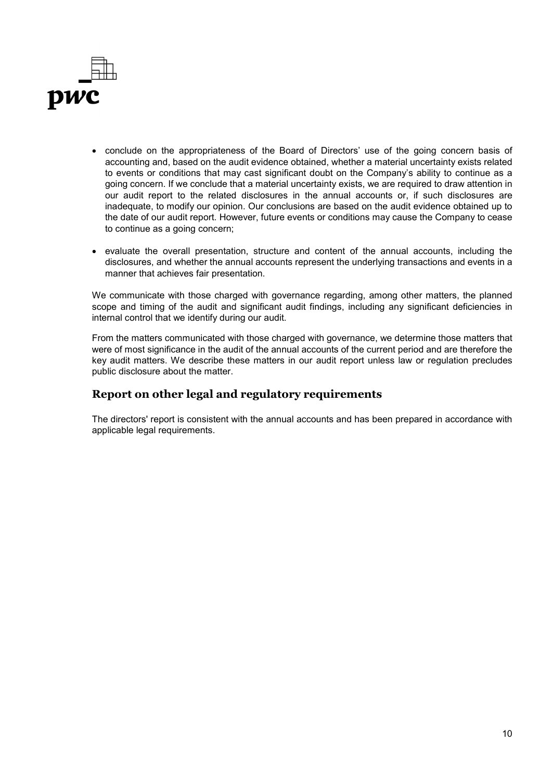

- conclude on the appropriateness of the Board of Directors' use of the going concern basis of accounting and, based on the audit evidence obtained, whether a material uncertainty exists related to events or conditions that may cast significant doubt on the Company's ability to continue as a going concern. If we conclude that a material uncertainty exists, we are required to draw attention in our audit report to the related disclosures in the annual accounts or, if such disclosures are inadequate, to modify our opinion. Our conclusions are based on the audit evidence obtained up to the date of our audit report. However, future events or conditions may cause the Company to cease to continue as a going concern;
- evaluate the overall presentation, structure and content of the annual accounts, including the disclosures, and whether the annual accounts represent the underlying transactions and events in a manner that achieves fair presentation.

We communicate with those charged with governance regarding, among other matters, the planned scope and timing of the audit and significant audit findings, including any significant deficiencies in internal control that we identify during our audit.

From the matters communicated with those charged with governance, we determine those matters that were of most significance in the audit of the annual accounts of the current period and are therefore the key audit matters. We describe these matters in our audit report unless law or regulation precludes public disclosure about the matter.

## **Report on other legal and regulatory requirements**

The directors' report is consistent with the annual accounts and has been prepared in accordance with applicable legal requirements.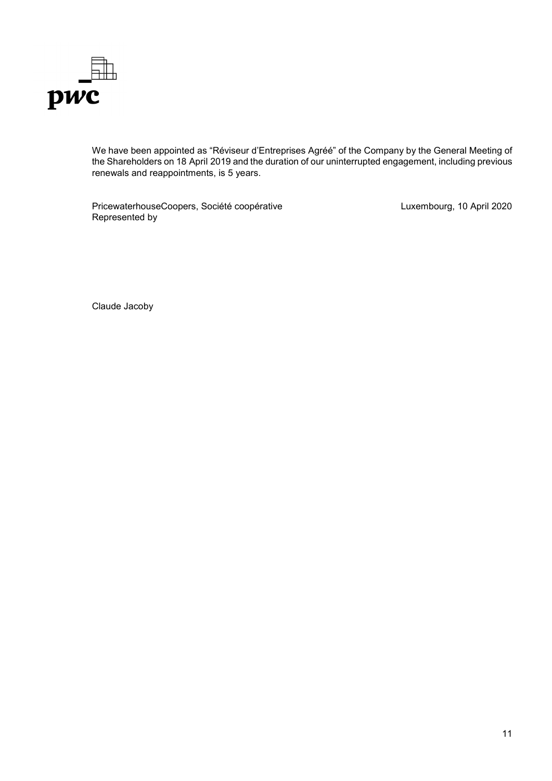

We have been appointed as "Réviseur d'Entreprises Agréé" of the Company by the General Meeting of the Shareholders on 18 April 2019 and the duration of our uninterrupted engagement, including previous renewals and reappointments, is 5 years.

PricewaterhouseCoopers, Société coopérative Represented by

Luxembourg, 10 April 2020

Claude Jacoby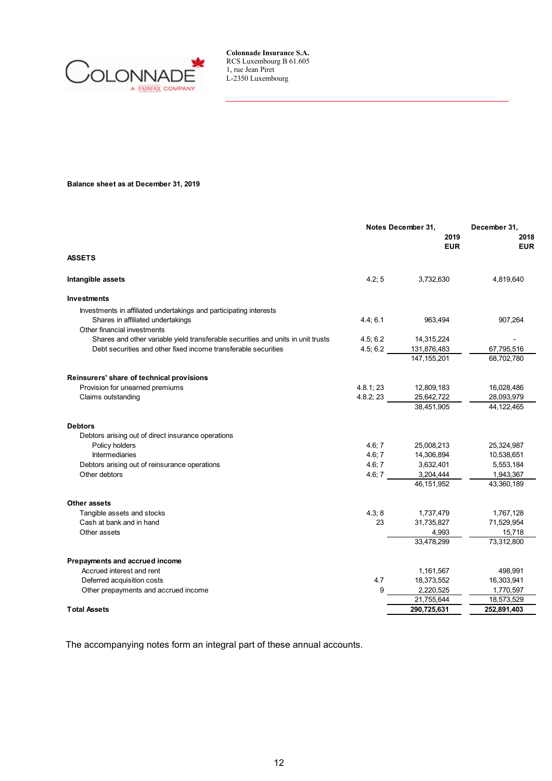

**Balance sheet as at December 31, 2019**

|                                                                                  | Notes December 31, |                    | December 31,       |  |
|----------------------------------------------------------------------------------|--------------------|--------------------|--------------------|--|
|                                                                                  |                    | 2019<br><b>EUR</b> | 2018<br><b>EUR</b> |  |
| <b>ASSETS</b>                                                                    |                    |                    |                    |  |
| Intangible assets                                                                | 4.2; 5             | 3,732,630          | 4,819,640          |  |
| <b>Investments</b>                                                               |                    |                    |                    |  |
| Investments in affiliated undertakings and participating interests               |                    |                    |                    |  |
| Shares in affiliated undertakings                                                | 4.4; 6.1           | 963,494            | 907,264            |  |
| Other financial investments                                                      |                    |                    |                    |  |
| Shares and other variable yield transferable securities and units in unit trusts | 4.5; 6.2           | 14,315,224         |                    |  |
| Debt securities and other fixed income transferable securities                   | 4.5; 6.2           | 131,876,483        | 67,795,516         |  |
|                                                                                  |                    | 147.155.201        | 68,702,780         |  |
| Reinsurers' share of technical provisions                                        |                    |                    |                    |  |
| Provision for unearned premiums                                                  | 4.8.1; 23          | 12,809,183         | 16,028,486         |  |
| Claims outstanding                                                               | 4.8.2; 23          | 25,642,722         | 28,093,979         |  |
|                                                                                  |                    | 38,451,905         | 44, 122, 465       |  |
| <b>Debtors</b>                                                                   |                    |                    |                    |  |
| Debtors arising out of direct insurance operations                               |                    |                    |                    |  |
| Policy holders                                                                   | 4.6; 7             | 25,008,213         | 25,324,987         |  |
| <b>Intermediaries</b>                                                            | 4.6; 7             | 14,306,894         | 10,538,651         |  |
| Debtors arising out of reinsurance operations                                    | 4.6; 7             | 3,632,401          | 5,553,184          |  |
| Other debtors                                                                    | 4.6; 7             | 3,204,444          | 1,943,367          |  |
|                                                                                  |                    | 46, 151, 952       | 43,360,189         |  |
| Other assets                                                                     |                    |                    |                    |  |
| Tangible assets and stocks                                                       | 4.3;8              | 1,737,479          | 1,767,128          |  |
| Cash at bank and in hand                                                         | 23                 | 31,735,827         | 71,529,954         |  |
| Other assets                                                                     |                    | 4,993              | 15,718             |  |
|                                                                                  |                    | 33,478,299         | 73,312,800         |  |
| Prepayments and accrued income                                                   |                    |                    |                    |  |
| Accrued interest and rent                                                        |                    | 1,161,567          | 498,991            |  |
| Deferred acquisition costs                                                       | 4.7                | 18,373,552         | 16,303,941         |  |
| Other prepayments and accrued income                                             | 9                  | 2,220,525          | 1,770,597          |  |
|                                                                                  |                    | 21,755,644         | 18,573,529         |  |
| <b>Total Assets</b>                                                              |                    | 290,725,631        | 252,891,403        |  |

The accompanying notes form an integral part of these annual accounts.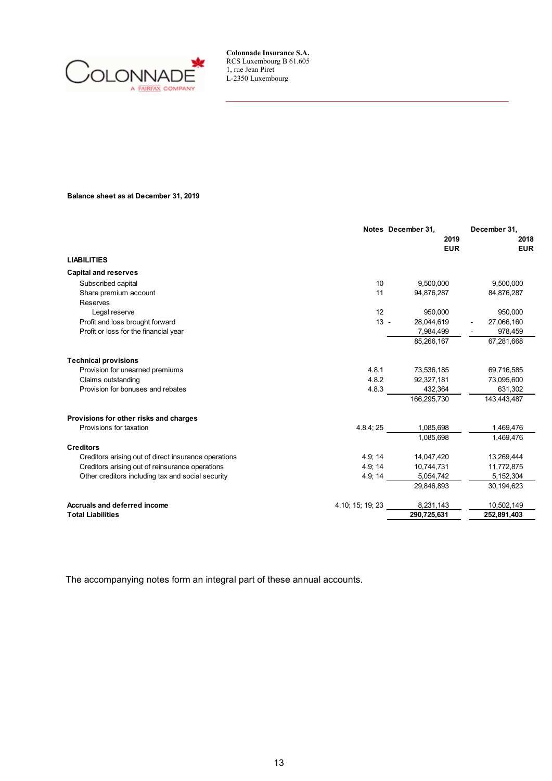

### **Balance sheet as at December 31, 2019**

|                                                                 | Notes December 31. | December 31,       |  |
|-----------------------------------------------------------------|--------------------|--------------------|--|
|                                                                 | 2019<br><b>EUR</b> | 2018<br><b>EUR</b> |  |
| <b>LIABILITIES</b>                                              |                    |                    |  |
| <b>Capital and reserves</b>                                     |                    |                    |  |
| 10<br>Subscribed capital                                        | 9,500,000          | 9,500,000          |  |
| Share premium account<br>11                                     | 94,876,287         | 84,876,287         |  |
| Reserves                                                        |                    |                    |  |
| 12<br>Legal reserve                                             | 950,000            | 950,000            |  |
| $13 -$<br>Profit and loss brought forward                       | 28,044,619         | 27,066,160         |  |
| Profit or loss for the financial year                           | 7,984,499          | 978,459            |  |
|                                                                 | 85,266,167         | 67,281,668         |  |
| <b>Technical provisions</b>                                     |                    |                    |  |
| Provision for unearned premiums<br>4.8.1                        | 73,536,185         | 69,716,585         |  |
| Claims outstanding<br>4.8.2                                     | 92,327,181         | 73,095,600         |  |
| Provision for bonuses and rebates<br>4.8.3                      | 432,364            | 631,302            |  |
|                                                                 | 166,295,730        | 143,443,487        |  |
| Provisions for other risks and charges                          |                    |                    |  |
| Provisions for taxation<br>4.8.4; 25                            | 1,085,698          | 1,469,476          |  |
|                                                                 | 1.085.698          | 1,469,476          |  |
| <b>Creditors</b>                                                |                    |                    |  |
| 4.9; 14<br>Creditors arising out of direct insurance operations | 14,047,420         | 13,269,444         |  |
| Creditors arising out of reinsurance operations<br>4.9; 14      | 10,744,731         | 11,772,875         |  |
| Other creditors including tax and social security<br>4.9; 14    | 5,054,742          | 5,152,304          |  |
|                                                                 | 29,846,893         | 30,194,623         |  |
| Accruals and deferred income<br>4.10; 15; 19; 23                | 8,231,143          | 10,502,149         |  |
| <b>Total Liabilities</b>                                        | 290,725,631        | 252,891,403        |  |

The accompanying notes form an integral part of these annual accounts.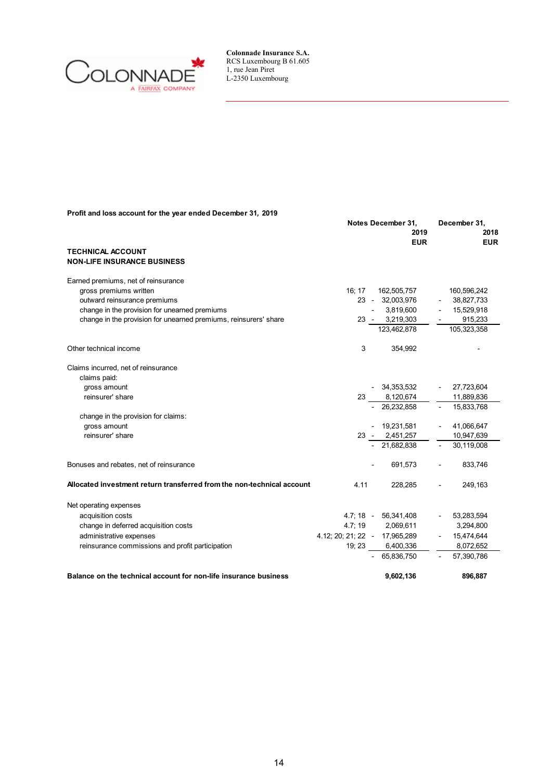

| Profit and loss account for the year ended December 31, 2019 |  |  |
|--------------------------------------------------------------|--|--|
|--------------------------------------------------------------|--|--|

|                                                                        |       | Notes December 31,<br>2019<br><b>EUR</b>      | December 31,<br>2018<br><b>EUR</b> |
|------------------------------------------------------------------------|-------|-----------------------------------------------|------------------------------------|
| <b>TECHNICAL ACCOUNT</b><br><b>NON-LIFE INSURANCE BUSINESS</b>         |       |                                               |                                    |
| Earned premiums, net of reinsurance                                    |       |                                               |                                    |
| gross premiums written                                                 | 16:17 | 162,505,757                                   | 160,596,242                        |
| outward reinsurance premiums                                           |       | 23 - 32,003,976                               | 38,827,733                         |
| change in the provision for unearned premiums                          |       | 3,819,600                                     | 15,529,918                         |
| change in the provision for unearned premiums, reinsurers' share       |       | 23 - 3,219,303                                | 915,233                            |
|                                                                        |       | 123,462,878                                   | 105,323,358                        |
| Other technical income                                                 | 3     | 354,992                                       |                                    |
| Claims incurred, net of reinsurance<br>claims paid:                    |       |                                               |                                    |
| gross amount                                                           |       | - 34,353,532                                  | $-27,723,604$                      |
| reinsurer' share                                                       |       | $\frac{23}{1}$ $\frac{8,120,674}{26,232,858}$ | 11,889,836                         |
|                                                                        |       |                                               | 15,833,768                         |
| change in the provision for claims:                                    |       |                                               |                                    |
| gross amount                                                           |       | $-19,231,581$                                 | 41,066,647                         |
| reinsurer' share                                                       |       | $23 - 2,451,257$                              | 10,947,639                         |
|                                                                        |       | $-21,682,838$                                 | 30,119,008                         |
| Bonuses and rebates, net of reinsurance                                |       | 691,573                                       | 833,746                            |
| Allocated investment return transferred from the non-technical account | 4.11  | 228.285                                       | 249,163                            |
| Net operating expenses                                                 |       |                                               |                                    |
| acquisition costs                                                      |       | 4.7; 18 - 56,341,408                          | $-53,283,594$                      |
| change in deferred acquisition costs                                   |       | 4.7; 19 2,069,611                             | 3,294,800                          |
| administrative expenses                                                |       | 4.12; 20; 21; 22 - 17,965,289                 | $-15,474,644$                      |
| reinsurance commissions and profit participation                       |       | 19; 23 6,400,336                              | 8,072,652                          |
|                                                                        |       | $-65,836,750$                                 | 57,390,786                         |
| Balance on the technical account for non-life insurance business       |       | 9,602,136                                     | 896.887                            |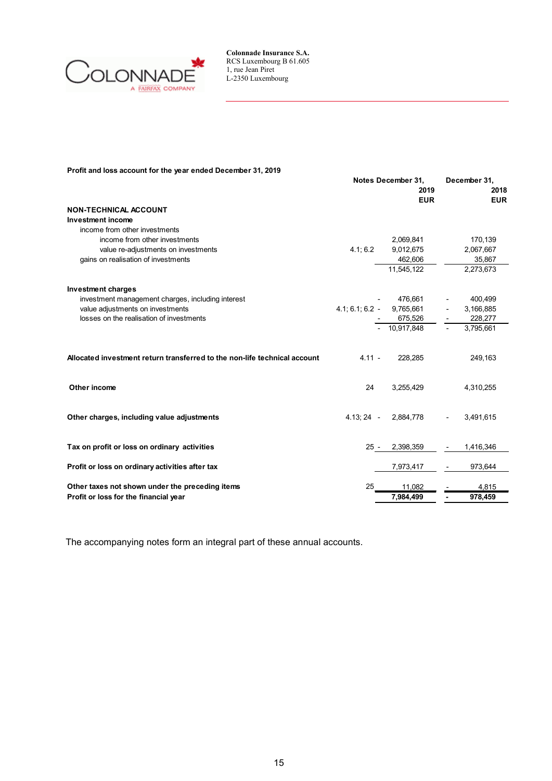

### **Profit and loss account for the year ended December 31, 2019**

|                                                                           | Notes December 31,<br>2019 |            | December 31,<br>2018 |  |
|---------------------------------------------------------------------------|----------------------------|------------|----------------------|--|
|                                                                           |                            | <b>EUR</b> | <b>EUR</b>           |  |
| <b>NON-TECHNICAL ACCOUNT</b>                                              |                            |            |                      |  |
| Investment income                                                         |                            |            |                      |  |
| income from other investments                                             |                            |            |                      |  |
| income from other investments                                             |                            | 2,069,841  | 170,139              |  |
| value re-adjustments on investments                                       | 4.1; 6.2                   | 9,012,675  | 2,067,667            |  |
| gains on realisation of investments                                       |                            | 462,606    | 35,867               |  |
|                                                                           |                            | 11,545,122 | 2,273,673            |  |
| <b>Investment charges</b>                                                 |                            |            |                      |  |
| investment management charges, including interest                         |                            | 476,661    | 400,499              |  |
| value adjustments on investments                                          | $4.1, 6.1, 6.2$ -          | 9,765,661  | 3,166,885            |  |
| losses on the realisation of investments                                  |                            | 675,526    | 228,277              |  |
|                                                                           |                            | 10,917,848 | 3,795,661            |  |
| Allocated investment return transferred to the non-life technical account | $4.11 -$                   | 228,285    | 249,163              |  |
| Other income                                                              | 24                         | 3,255,429  | 4,310,255            |  |
| Other charges, including value adjustments                                | $4.13; 24 -$               | 2,884,778  | 3,491,615            |  |
| Tax on profit or loss on ordinary activities                              | $25 -$                     | 2,398,359  | 1,416,346            |  |
| Profit or loss on ordinary activities after tax                           |                            | 7,973,417  | 973,644              |  |
| Other taxes not shown under the preceding items                           |                            | 11.082     | 4,815                |  |
| Profit or loss for the financial year                                     |                            | 7.984.499  | 978,459              |  |

The accompanying notes form an integral part of these annual accounts.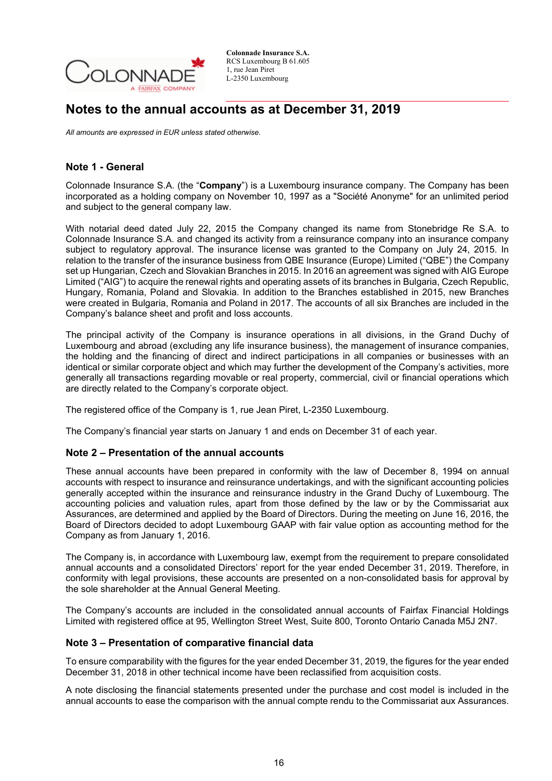

## **Notes to the annual accounts as at December 31, 2019**

*All amounts are expressed in EUR unless stated otherwise.*

### **Note 1 - General**

Colonnade Insurance S.A. (the "**Company**") is a Luxembourg insurance company. The Company has been incorporated as a holding company on November 10, 1997 as a "Société Anonyme" for an unlimited period and subject to the general company law.

With notarial deed dated July 22, 2015 the Company changed its name from Stonebridge Re S.A. to Colonnade Insurance S.A. and changed its activity from a reinsurance company into an insurance company subject to regulatory approval. The insurance license was granted to the Company on July 24, 2015. In relation to the transfer of the insurance business from QBE Insurance (Europe) Limited ("QBE") the Company set up Hungarian, Czech and Slovakian Branches in 2015. In 2016 an agreement was signed with AIG Europe Limited ("AIG") to acquire the renewal rights and operating assets of its branches in Bulgaria, Czech Republic, Hungary, Romania, Poland and Slovakia. In addition to the Branches established in 2015, new Branches were created in Bulgaria, Romania and Poland in 2017. The accounts of all six Branches are included in the Company's balance sheet and profit and loss accounts.

The principal activity of the Company is insurance operations in all divisions, in the Grand Duchy of Luxembourg and abroad (excluding any life insurance business), the management of insurance companies, the holding and the financing of direct and indirect participations in all companies or businesses with an identical or similar corporate object and which may further the development of the Company's activities, more generally all transactions regarding movable or real property, commercial, civil or financial operations which are directly related to the Company's corporate object.

The registered office of the Company is 1, rue Jean Piret, L-2350 Luxembourg.

The Company's financial year starts on January 1 and ends on December 31 of each year.

### **Note 2 – Presentation of the annual accounts**

These annual accounts have been prepared in conformity with the law of December 8, 1994 on annual accounts with respect to insurance and reinsurance undertakings, and with the significant accounting policies generally accepted within the insurance and reinsurance industry in the Grand Duchy of Luxembourg. The accounting policies and valuation rules, apart from those defined by the law or by the Commissariat aux Assurances, are determined and applied by the Board of Directors. During the meeting on June 16, 2016, the Board of Directors decided to adopt Luxembourg GAAP with fair value option as accounting method for the Company as from January 1, 2016.

The Company is, in accordance with Luxembourg law, exempt from the requirement to prepare consolidated annual accounts and a consolidated Directors' report for the year ended December 31, 2019. Therefore, in conformity with legal provisions, these accounts are presented on a non-consolidated basis for approval by the sole shareholder at the Annual General Meeting.

The Company's accounts are included in the consolidated annual accounts of Fairfax Financial Holdings Limited with registered office at 95, Wellington Street West, Suite 800, Toronto Ontario Canada M5J 2N7.

### **Note 3 – Presentation of comparative financial data**

To ensure comparability with the figures for the year ended December 31, 2019, the figures for the year ended December 31, 2018 in other technical income have been reclassified from acquisition costs.

A note disclosing the financial statements presented under the purchase and cost model is included in the annual accounts to ease the comparison with the annual compte rendu to the Commissariat aux Assurances.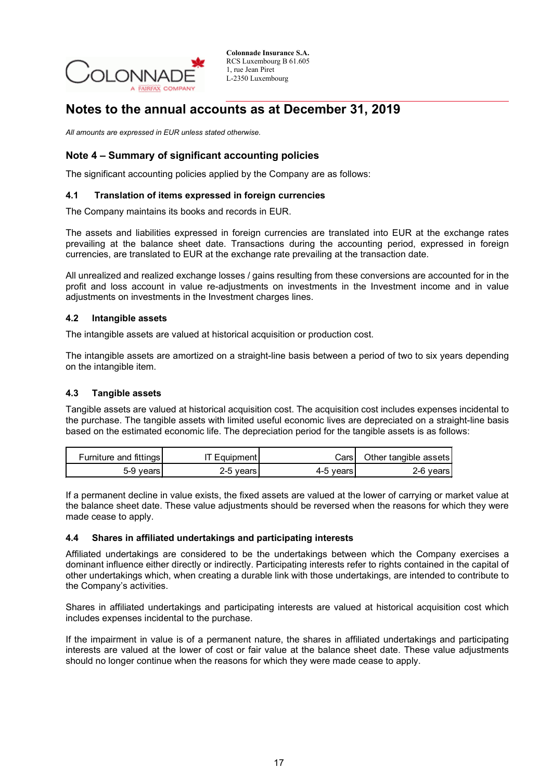

## **Notes to the annual accounts as at December 31, 2019**

*All amounts are expressed in EUR unless stated otherwise.*

## **Note 4 – Summary of significant accounting policies**

The significant accounting policies applied by the Company are as follows:

### **4.1 Translation of items expressed in foreign currencies**

The Company maintains its books and records in EUR.

The assets and liabilities expressed in foreign currencies are translated into EUR at the exchange rates prevailing at the balance sheet date. Transactions during the accounting period, expressed in foreign currencies, are translated to EUR at the exchange rate prevailing at the transaction date.

All unrealized and realized exchange losses / gains resulting from these conversions are accounted for in the profit and loss account in value re-adjustments on investments in the Investment income and in value adjustments on investments in the Investment charges lines.

### **4.2 Intangible assets**

The intangible assets are valued at historical acquisition or production cost.

The intangible assets are amortized on a straight-line basis between a period of two to six years depending on the intangible item.

### **4.3 Tangible assets**

Tangible assets are valued at historical acquisition cost. The acquisition cost includes expenses incidental to the purchase. The tangible assets with limited useful economic lives are depreciated on a straight-line basis based on the estimated economic life. The depreciation period for the tangible assets is as follows:

| Furniture and fittings | 'T Equipment | CarsT       | Other tangible assets |
|------------------------|--------------|-------------|-----------------------|
| 5-9 vears l            | 2-5 vears    | 4-5 vears l | 2-6 years             |

If a permanent decline in value exists, the fixed assets are valued at the lower of carrying or market value at the balance sheet date. These value adjustments should be reversed when the reasons for which they were made cease to apply.

### **4.4 Shares in affiliated undertakings and participating interests**

Affiliated undertakings are considered to be the undertakings between which the Company exercises a dominant influence either directly or indirectly. Participating interests refer to rights contained in the capital of other undertakings which, when creating a durable link with those undertakings, are intended to contribute to the Company's activities.

Shares in affiliated undertakings and participating interests are valued at historical acquisition cost which includes expenses incidental to the purchase.

If the impairment in value is of a permanent nature, the shares in affiliated undertakings and participating interests are valued at the lower of cost or fair value at the balance sheet date. These value adjustments should no longer continue when the reasons for which they were made cease to apply.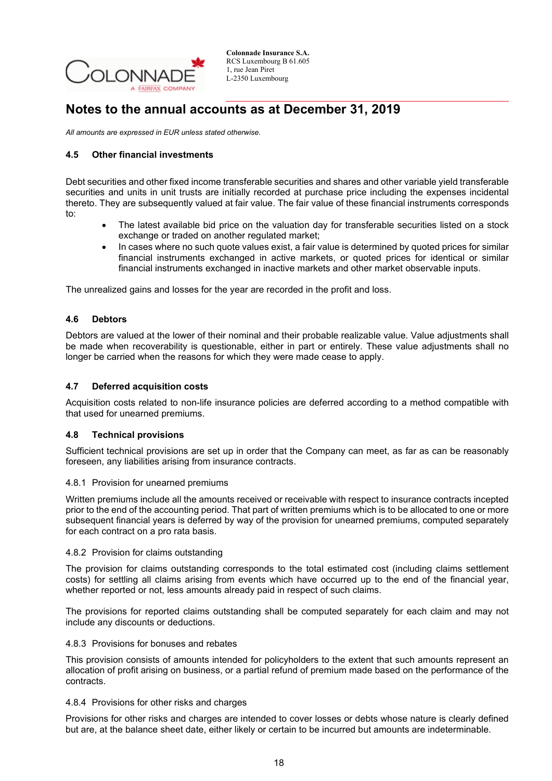

## **Notes to the annual accounts as at December 31, 2019**

*All amounts are expressed in EUR unless stated otherwise.*

### **4.5 Other financial investments**

Debt securities and other fixed income transferable securities and shares and other variable yield transferable securities and units in unit trusts are initially recorded at purchase price including the expenses incidental thereto. They are subsequently valued at fair value. The fair value of these financial instruments corresponds to:

- The latest available bid price on the valuation day for transferable securities listed on a stock exchange or traded on another regulated market;
- In cases where no such quote values exist, a fair value is determined by quoted prices for similar financial instruments exchanged in active markets, or quoted prices for identical or similar financial instruments exchanged in inactive markets and other market observable inputs.

The unrealized gains and losses for the year are recorded in the profit and loss.

### **4.6 Debtors**

Debtors are valued at the lower of their nominal and their probable realizable value. Value adjustments shall be made when recoverability is questionable, either in part or entirely. These value adjustments shall no longer be carried when the reasons for which they were made cease to apply.

### **4.7 Deferred acquisition costs**

Acquisition costs related to non-life insurance policies are deferred according to a method compatible with that used for unearned premiums.

### **4.8 Technical provisions**

Sufficient technical provisions are set up in order that the Company can meet, as far as can be reasonably foreseen, any liabilities arising from insurance contracts.

### 4.8.1 Provision for unearned premiums

Written premiums include all the amounts received or receivable with respect to insurance contracts incepted prior to the end of the accounting period. That part of written premiums which is to be allocated to one or more subsequent financial years is deferred by way of the provision for unearned premiums, computed separately for each contract on a pro rata basis.

### 4.8.2 Provision for claims outstanding

The provision for claims outstanding corresponds to the total estimated cost (including claims settlement costs) for settling all claims arising from events which have occurred up to the end of the financial year, whether reported or not, less amounts already paid in respect of such claims.

The provisions for reported claims outstanding shall be computed separately for each claim and may not include any discounts or deductions.

### 4.8.3 Provisions for bonuses and rebates

This provision consists of amounts intended for policyholders to the extent that such amounts represent an allocation of profit arising on business, or a partial refund of premium made based on the performance of the contracts.

### 4.8.4 Provisions for other risks and charges

Provisions for other risks and charges are intended to cover losses or debts whose nature is clearly defined but are, at the balance sheet date, either likely or certain to be incurred but amounts are indeterminable.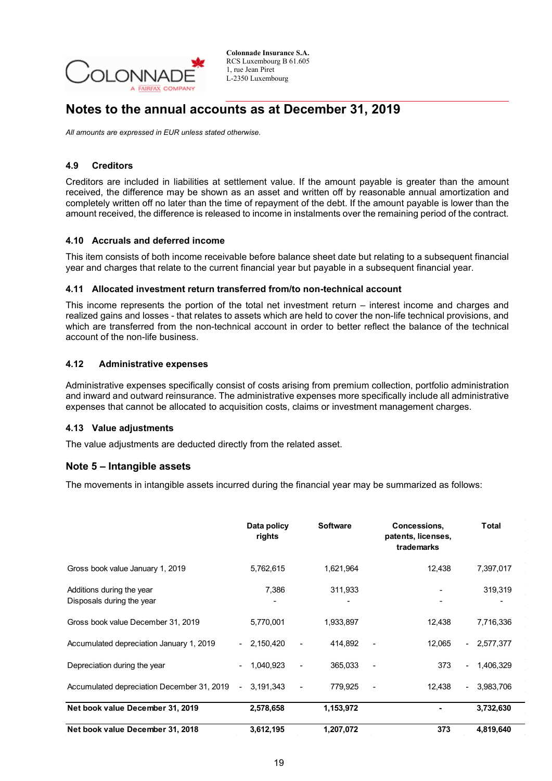

## **Notes to the annual accounts as at December 31, 2019**

*All amounts are expressed in EUR unless stated otherwise.*

### **4.9 Creditors**

Creditors are included in liabilities at settlement value. If the amount payable is greater than the amount received, the difference may be shown as an asset and written off by reasonable annual amortization and completely written off no later than the time of repayment of the debt. If the amount payable is lower than the amount received, the difference is released to income in instalments over the remaining period of the contract.

### **4.10 Accruals and deferred income**

This item consists of both income receivable before balance sheet date but relating to a subsequent financial year and charges that relate to the current financial year but payable in a subsequent financial year.

### **4.11 Allocated investment return transferred from/to non-technical account**

This income represents the portion of the total net investment return – interest income and charges and realized gains and losses - that relates to assets which are held to cover the non-life technical provisions, and which are transferred from the non-technical account in order to better reflect the balance of the technical account of the non-life business.

### **4.12 Administrative expenses**

Administrative expenses specifically consist of costs arising from premium collection, portfolio administration and inward and outward reinsurance. The administrative expenses more specifically include all administrative expenses that cannot be allocated to acquisition costs, claims or investment management charges.

### **4.13 Value adjustments**

The value adjustments are deducted directly from the related asset.

### **Note 5 – Intangible assets**

The movements in intangible assets incurred during the financial year may be summarized as follows:

|                                                        | Data policy<br>rights | <b>Software</b> | Concessions,<br>patents, licenses,<br>trademarks | <b>Total</b>                          |
|--------------------------------------------------------|-----------------------|-----------------|--------------------------------------------------|---------------------------------------|
| Gross book value January 1, 2019                       | 5,762,615             | 1,621,964       | 12,438                                           | 7,397,017                             |
| Additions during the year<br>Disposals during the year | 7,386                 | 311,933         |                                                  | 319,319                               |
| Gross book value December 31, 2019                     | 5,770,001             | 1,933,897       | 12,438                                           | 7,716,336                             |
| Accumulated depreciation January 1, 2019               | $-2,150,420$          | 414.892         | 12,065                                           | $-2,577,377$                          |
| Depreciation during the year                           | 1,040,923             | 365,033         | 373                                              | 1,406,329<br>$\overline{\phantom{0}}$ |
| Accumulated depreciation December 31, 2019             | 3,191,343             | 779,925         | 12,438                                           | 3,983,706<br>$\sim$                   |
| Net book value December 31, 2019                       | 2,578,658             | 1,153,972       |                                                  | 3,732,630                             |
| Net book value December 31, 2018                       | 3,612,195             | 1,207,072       | 373                                              | 4,819,640                             |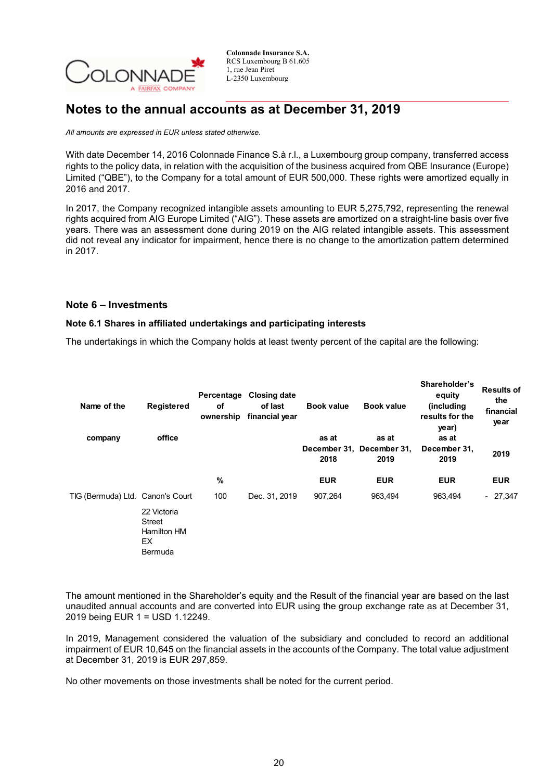

## **Notes to the annual accounts as at December 31, 2019**

*All amounts are expressed in EUR unless stated otherwise.*

With date December 14, 2016 Colonnade Finance S.à r.l., a Luxembourg group company, transferred access rights to the policy data, in relation with the acquisition of the business acquired from QBE Insurance (Europe) Limited ("QBE"), to the Company for a total amount of EUR 500,000. These rights were amortized equally in 2016 and 2017.

In 2017, the Company recognized intangible assets amounting to EUR 5,275,792, representing the renewal rights acquired from AIG Europe Limited ("AIG"). These assets are amortized on a straight-line basis over five years. There was an assessment done during 2019 on the AIG related intangible assets. This assessment did not reveal any indicator for impairment, hence there is no change to the amortization pattern determined in 2017.

### **Note 6 – Investments**

### **Note 6.1 Shares in affiliated undertakings and participating interests**

The undertakings in which the Company holds at least twenty percent of the capital are the following:

| Name of the                      | <b>Registered</b>                                     | οf<br>ownership | Percentage Closing date<br>of last<br>financial year | <b>Book value</b> | <b>Book value</b>                          | Shareholder's<br>equity<br>(including<br>results for the<br>year) | <b>Results of</b><br>the<br>financial<br>year |
|----------------------------------|-------------------------------------------------------|-----------------|------------------------------------------------------|-------------------|--------------------------------------------|-------------------------------------------------------------------|-----------------------------------------------|
| company                          | office                                                |                 |                                                      | as at<br>2018     | as at<br>December 31, December 31,<br>2019 | as at<br>December 31,<br>2019                                     | 2019                                          |
|                                  |                                                       | %               |                                                      | <b>EUR</b>        | <b>EUR</b>                                 | <b>EUR</b>                                                        | <b>EUR</b>                                    |
| TIG (Bermuda) Ltd. Canon's Court |                                                       | 100             | Dec. 31, 2019                                        | 907,264           | 963,494                                    | 963,494                                                           | $-27,347$                                     |
|                                  | 22 Victoria<br>Street<br>Hamilton HM<br>EX<br>Bermuda |                 |                                                      |                   |                                            |                                                                   |                                               |

The amount mentioned in the Shareholder's equity and the Result of the financial year are based on the last unaudited annual accounts and are converted into EUR using the group exchange rate as at December 31, 2019 being EUR 1 = USD 1.12249.

In 2019, Management considered the valuation of the subsidiary and concluded to record an additional impairment of EUR 10,645 on the financial assets in the accounts of the Company. The total value adjustment at December 31, 2019 is EUR 297,859.

No other movements on those investments shall be noted for the current period.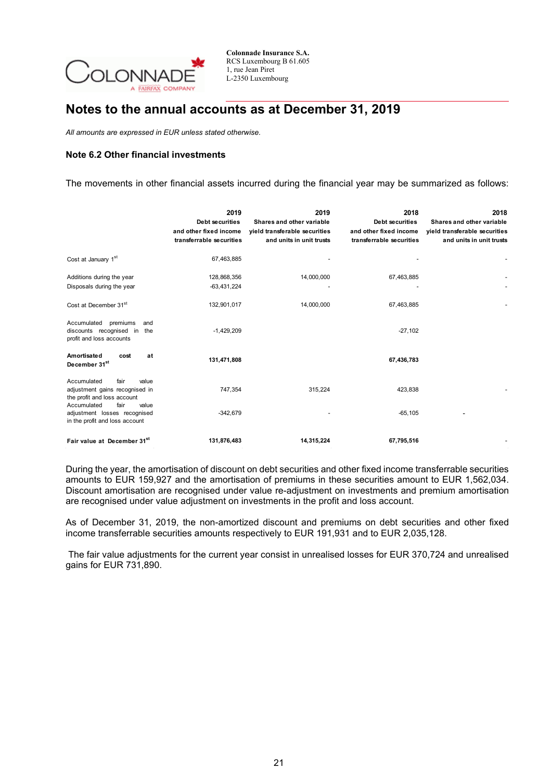

## **Notes to the annual accounts as at December 31, 2019**

*All amounts are expressed in EUR unless stated otherwise.*

### **Note 6.2 Other financial investments**

The movements in other financial assets incurred during the financial year may be summarized as follows:

|                                                                                                | 2019<br><b>Debt securities</b><br>and other fixed income<br>transferrable securities | 2019<br>Shares and other variable<br>yield transferable securities<br>and units in unit trusts | 2018<br><b>Debt securities</b><br>and other fixed income<br>transferrable securities | 2018<br>Shares and other variable<br>yield transferable securities<br>and units in unit trusts |
|------------------------------------------------------------------------------------------------|--------------------------------------------------------------------------------------|------------------------------------------------------------------------------------------------|--------------------------------------------------------------------------------------|------------------------------------------------------------------------------------------------|
| Cost at January 1 <sup>st</sup>                                                                | 67,463,885                                                                           |                                                                                                |                                                                                      |                                                                                                |
| Additions during the year<br>Disposals during the year                                         | 128,868,356<br>$-63,431,224$                                                         | 14,000,000                                                                                     | 67,463,885                                                                           |                                                                                                |
| Cost at December 31st                                                                          | 132,901,017                                                                          | 14,000,000                                                                                     | 67,463,885                                                                           |                                                                                                |
| Accumulated<br>premiums<br>and<br>discounts recognised in the<br>profit and loss accounts      | $-1,429,209$                                                                         |                                                                                                | $-27,102$                                                                            |                                                                                                |
| Amortisated<br>at<br>cost<br>December 31 <sup>st</sup>                                         | 131,471,808                                                                          |                                                                                                | 67,436,783                                                                           |                                                                                                |
| Accumulated<br>fair<br>value<br>adjustment gains recognised in<br>the profit and loss account  | 747,354                                                                              | 315,224                                                                                        | 423,838                                                                              |                                                                                                |
| Accumulated<br>fair<br>value<br>adjustment losses recognised<br>in the profit and loss account | $-342,679$                                                                           |                                                                                                | $-65, 105$                                                                           |                                                                                                |
| Fair value at December 31st                                                                    | 131,876,483                                                                          | 14,315,224                                                                                     | 67,795,516                                                                           |                                                                                                |

During the year, the amortisation of discount on debt securities and other fixed income transferrable securities amounts to EUR 159,927 and the amortisation of premiums in these securities amount to EUR 1,562,034. Discount amortisation are recognised under value re-adjustment on investments and premium amortisation are recognised under value adjustment on investments in the profit and loss account.

As of December 31, 2019, the non-amortized discount and premiums on debt securities and other fixed income transferrable securities amounts respectively to EUR 191,931 and to EUR 2,035,128.

The fair value adjustments for the current year consist in unrealised losses for EUR 370,724 and unrealised gains for EUR 731,890.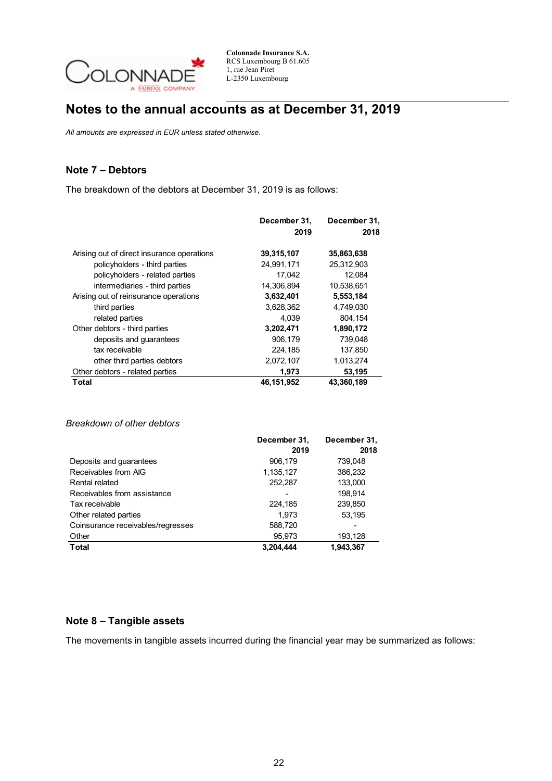

# **Notes to the annual accounts as at December 31, 2019**

*All amounts are expressed in EUR unless stated otherwise.*

## **Note 7 – Debtors**

The breakdown of the debtors at December 31, 2019 is as follows:

|                                            | December 31, | December 31, |
|--------------------------------------------|--------------|--------------|
|                                            | 2019         | 2018         |
| Arising out of direct insurance operations | 39,315,107   | 35,863,638   |
| policyholders - third parties              | 24,991,171   | 25,312,903   |
| policyholders - related parties            | 17,042       | 12,084       |
| intermediaries - third parties             | 14,306,894   | 10,538,651   |
| Arising out of reinsurance operations      | 3,632,401    | 5,553,184    |
| third parties                              | 3,628,362    | 4,749,030    |
| related parties                            | 4.039        | 804.154      |
| Other debtors - third parties              | 3,202,471    | 1,890,172    |
| deposits and guarantees                    | 906,179      | 739,048      |
| tax receivable                             | 224,185      | 137,850      |
| other third parties debtors                | 2,072,107    | 1,013,274    |
| Other debtors - related parties            | 1,973        | 53,195       |
| Total                                      | 46,151,952   | 43.360.189   |

### *Breakdown of other debtors*

|                                   | December 31, | December 31, |
|-----------------------------------|--------------|--------------|
|                                   | 2019         | 2018         |
| Deposits and guarantees           | 906,179      | 739,048      |
| Receivables from AIG              | 1,135,127    | 386,232      |
| Rental related                    | 252,287      | 133,000      |
| Receivables from assistance       |              | 198.914      |
| Tax receivable                    | 224,185      | 239,850      |
| Other related parties             | 1.973        | 53,195       |
| Coinsurance receivables/regresses | 588,720      |              |
| Other                             | 95,973       | 193,128      |
| <b>Total</b>                      | 3,204,444    | 1,943,367    |

### **Note 8 – Tangible assets**

The movements in tangible assets incurred during the financial year may be summarized as follows: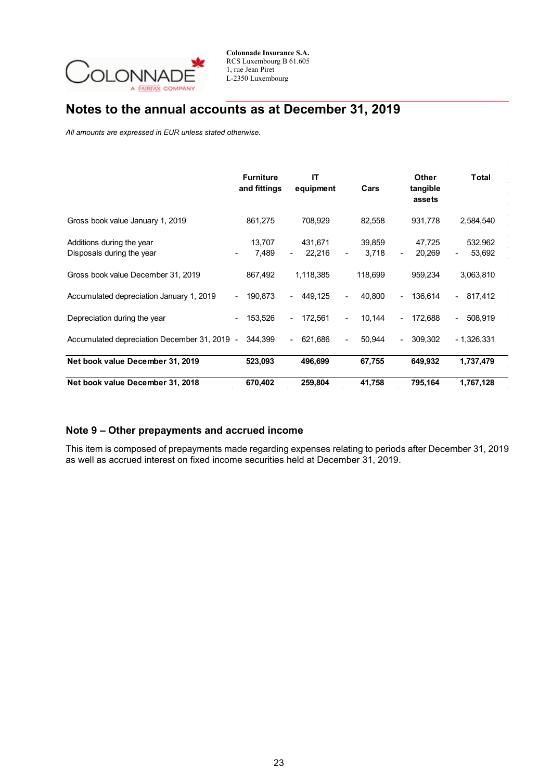

# **Notes to the annual accounts as at December 31, 2019**

*All amounts are expressed in EUR unless stated otherwise.*

|                                                        | <b>Furniture</b><br>and fittings | ΙT<br>equipment   | Cars            | Other<br>tangible<br>assets                      | Total             |
|--------------------------------------------------------|----------------------------------|-------------------|-----------------|--------------------------------------------------|-------------------|
| Gross book value January 1, 2019                       | 861,275                          | 708,929           | 82,558          | 931,778                                          | 2,584,540         |
| Additions during the year<br>Disposals during the year | 13,707<br>7,489                  | 431,671<br>22,216 | 39,859<br>3,718 | 47,725<br>20,269<br>$\qquad \qquad \blacksquare$ | 532,962<br>53,692 |
| Gross book value December 31, 2019                     | 867,492                          | 1,118,385         | 118,699         | 959,234                                          | 3,063,810         |
| Accumulated depreciation January 1, 2019               | 190,873<br>$\sim$                | 449,125           | 40,800          | 136,614<br>$\sim$                                | $-817,412$        |
| Depreciation during the year                           | 153,526                          | 172,561           | 10,144<br>٠     | 172,688<br>$\blacksquare$                        | 508,919           |
| Accumulated depreciation December 31, 2019 -           | 344,399                          | 621,686           | 50,944          | 309,302<br>$\blacksquare$                        | $-1,326,331$      |
| Net book value December 31, 2019                       | 523,093                          | 496,699           | 67,755          | 649,932                                          | 1,737,479         |
| Net book value December 31, 2018                       | 670,402                          | 259,804           | 41,758          | 795,164                                          | 1,767,128         |

### **Note 9 – Other prepayments and accrued income**

This item is composed of prepayments made regarding expenses relating to periods after December 31, 2019 as well as accrued interest on fixed income securities held at December 31, 2019.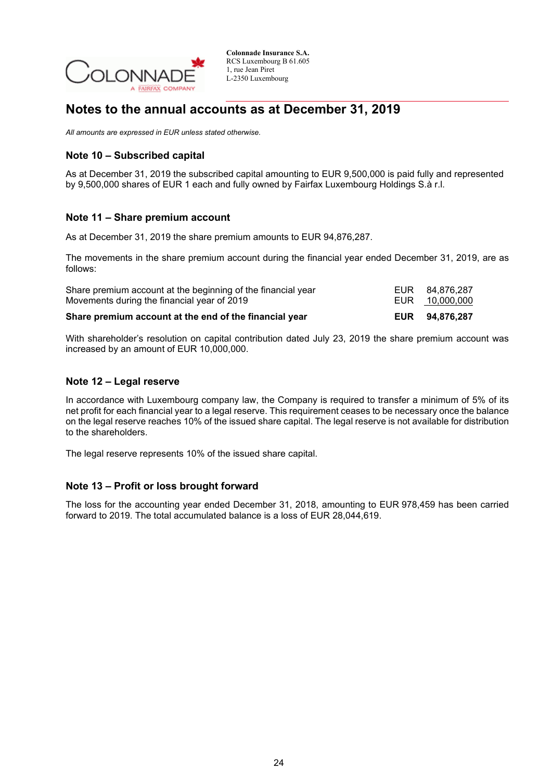

## **Notes to the annual accounts as at December 31, 2019**

*All amounts are expressed in EUR unless stated otherwise.*

## **Note 10 – Subscribed capital**

As at December 31, 2019 the subscribed capital amounting to EUR 9,500,000 is paid fully and represented by 9,500,000 shares of EUR 1 each and fully owned by Fairfax Luxembourg Holdings S.à r.l.

### **Note 11 – Share premium account**

As at December 31, 2019 the share premium amounts to EUR 94,876,287.

The movements in the share premium account during the financial year ended December 31, 2019, are as follows:

| Share premium account at the end of the financial year       | EUR 94.876.287 |
|--------------------------------------------------------------|----------------|
| Movements during the financial year of 2019                  |                |
| Share premium account at the beginning of the financial year | EUR 84.876.287 |

With shareholder's resolution on capital contribution dated July 23, 2019 the share premium account was increased by an amount of EUR 10,000,000.

### **Note 12 – Legal reserve**

In accordance with Luxembourg company law, the Company is required to transfer a minimum of 5% of its net profit for each financial year to a legal reserve. This requirement ceases to be necessary once the balance on the legal reserve reaches 10% of the issued share capital. The legal reserve is not available for distribution to the shareholders.

The legal reserve represents 10% of the issued share capital.

### **Note 13 – Profit or loss brought forward**

The loss for the accounting year ended December 31, 2018, amounting to EUR 978,459 has been carried forward to 2019. The total accumulated balance is a loss of EUR 28,044,619.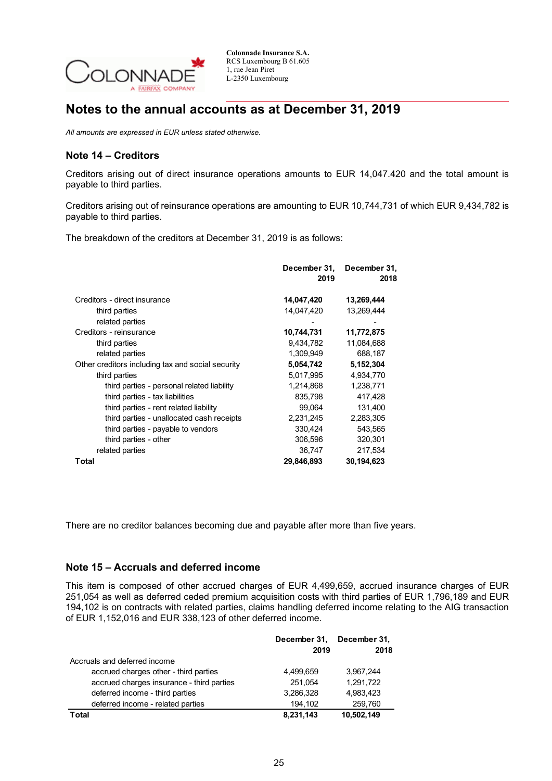

## **Notes to the annual accounts as at December 31, 2019**

*All amounts are expressed in EUR unless stated otherwise.*

## **Note 14 – Creditors**

Creditors arising out of direct insurance operations amounts to EUR 14,047.420 and the total amount is payable to third parties.

Creditors arising out of reinsurance operations are amounting to EUR 10,744,731 of which EUR 9,434,782 is payable to third parties.

The breakdown of the creditors at December 31, 2019 is as follows:

|                                                   | December 31,<br>2019 | December 31,<br>2018 |
|---------------------------------------------------|----------------------|----------------------|
| Creditors - direct insurance                      | 14,047,420           | 13,269,444           |
| third parties                                     | 14,047,420           | 13,269,444           |
| related parties                                   |                      |                      |
| Creditors - reinsurance                           | 10,744,731           | 11,772,875           |
| third parties                                     | 9,434,782            | 11,084,688           |
| related parties                                   | 1,309,949            | 688,187              |
| Other creditors including tax and social security | 5,054,742            | 5,152,304            |
| third parties                                     | 5,017,995            | 4,934,770            |
| third parties - personal related liability        | 1,214,868            | 1,238,771            |
| third parties - tax liabilities                   | 835,798              | 417,428              |
| third parties - rent related liability            | 99,064               | 131,400              |
| third parties - unallocated cash receipts         | 2,231,245            | 2,283,305            |
| third parties - payable to vendors                | 330,424              | 543,565              |
| third parties - other                             | 306,596              | 320,301              |
| related parties                                   | 36,747               | 217,534              |
| Total                                             | 29,846,893           | 30,194,623           |

There are no creditor balances becoming due and payable after more than five years.

### **Note 15 – Accruals and deferred income**

This item is composed of other accrued charges of EUR 4,499,659, accrued insurance charges of EUR 251,054 as well as deferred ceded premium acquisition costs with third parties of EUR 1,796,189 and EUR 194,102 is on contracts with related parties, claims handling deferred income relating to the AIG transaction of EUR 1,152,016 and EUR 338,123 of other deferred income.

|                                           | December 31,<br>2019 | December 31,<br>2018 |
|-------------------------------------------|----------------------|----------------------|
| Accruals and deferred income              |                      |                      |
| accrued charges other - third parties     | 4,499,659            | 3,967,244            |
| accrued charges insurance - third parties | 251.054              | 1,291,722            |
| deferred income - third parties           | 3,286,328            | 4,983,423            |
| deferred income - related parties         | 194,102              | 259,760              |
| Total                                     | 8,231,143            | 10,502,149           |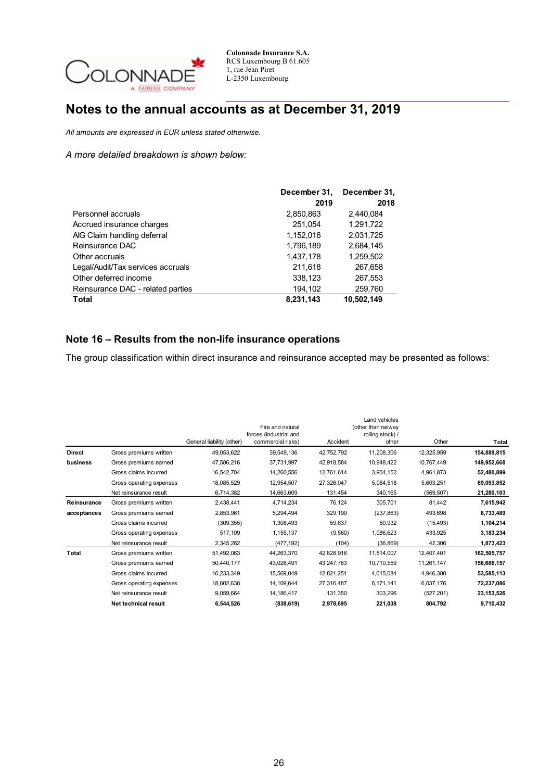

# **Notes to the annual accounts as at December 31, 2019**

*All amounts are expressed in EUR unless stated otherwise.*

*A more detailed breakdown is shown below:*

|                                   | December 31, | December 31, |
|-----------------------------------|--------------|--------------|
|                                   | 2019         | 2018         |
| Personnel accruals                | 2,850,863    | 2,440,084    |
| Accrued insurance charges         | 251,054      | 1.291.722    |
| AIG Claim handling deferral       | 1,152,016    | 2,031,725    |
| Reinsurance DAC                   | 1,796,189    | 2,684,145    |
| Other accruals                    | 1,437,178    | 1,259,502    |
| Legal/Audit/Tax services accruals | 211,618      | 267,658      |
| Other deferred income             | 338,123      | 267,553      |
| Reinsurance DAC - related parties | 194,102      | 259,760      |
| <b>Total</b>                      | 8,231,143    | 10,502,149   |

### **Note 16 – Results from the non-life insurance operations**

The group classification within direct insurance and reinsurance accepted may be presented as follows:

|               |                          | General liability (other) | Fire and natural<br>forces (industrial and<br>commercial risks) | Accident   | Land vehicles<br>(other than railway<br>rolling stock) /<br>other | Other      | Total        |
|---------------|--------------------------|---------------------------|-----------------------------------------------------------------|------------|-------------------------------------------------------------------|------------|--------------|
| <b>Direct</b> | Gross premiums written   | 49,053,622                | 39,549,136                                                      | 42,752,792 | 11,208,306                                                        | 12,325,959 | 154,889,815  |
| business      | Gross premiums earned    | 47,586,216                | 37,731,997                                                      | 42,918,584 | 10,948,422                                                        | 10,767,449 | 149,952,668  |
|               | Gross claims incurred    | 16,542,704                | 14,260,556                                                      | 12,761,614 | 3,954,152                                                         | 4,961,873  | 52,480,899   |
|               | Gross operating expenses | 18,085,529                | 12,954,507                                                      | 27,326,047 | 5,084,518                                                         | 5,603,251  | 69,053,852   |
|               | Net reinsurance result   | 6,714,382                 | 14,663,609                                                      | 131,454    | 340,165                                                           | (569, 507) | 21,280,103   |
| Reinsurance   | Gross premiums written   | 2,438,441                 | 4,714,234                                                       | 76,124     | 305,701                                                           | 81,442     | 7,615,942    |
| acceptances   | Gross premiums earned    | 2,853,961                 | 5,294,494                                                       | 329,199    | (237, 863)                                                        | 493,698    | 8,733,489    |
|               | Gross claims incurred    | (309, 355)                | 1,308,493                                                       | 59,637     | 60,932                                                            | (15, 493)  | 1,104,214    |
|               | Gross operating expenses | 517,109                   | 1,155,137                                                       | (9,560)    | 1,086,623                                                         | 433,925    | 3,183,234    |
|               | Net reinsurance result   | 2,345,282                 | (477, 192)                                                      | (104)      | (36, 869)                                                         | 42,306     | 1,873,423    |
| Total         | Gross premiums written   | 51,492,063                | 44,263,370                                                      | 42,828,916 | 11,514,007                                                        | 12,407,401 | 162,505,757  |
|               | Gross premiums earned    | 50,440,177                | 43,026,491                                                      | 43,247,783 | 10,710,559                                                        | 11,261,147 | 158,686,157  |
|               | Gross claims incurred    | 16,233,349                | 15,569,049                                                      | 12,821,251 | 4,015,084                                                         | 4,946,380  | 53,585,113   |
|               | Gross operating expenses | 18,602,638                | 14,109,644                                                      | 27,316,487 | 6,171,141                                                         | 6,037,176  | 72,237,086   |
|               | Net reinsurance result   | 9,059,664                 | 14,186,417                                                      | 131,350    | 303,296                                                           | (527, 201) | 23, 153, 526 |
|               | Net technical result     | 6,544,526                 | (838, 619)                                                      | 2,978,695  | 221,038                                                           | 804,792    | 9,710,432    |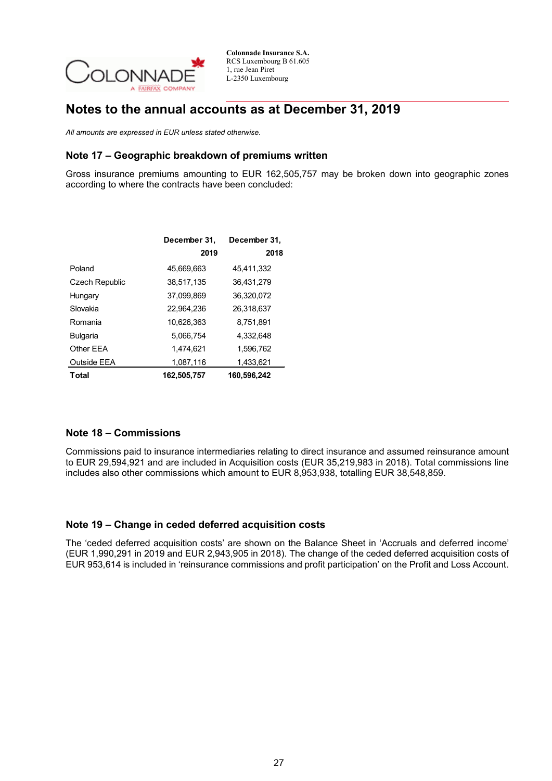

## **Notes to the annual accounts as at December 31, 2019**

*All amounts are expressed in EUR unless stated otherwise.*

## **Note 17 – Geographic breakdown of premiums written**

Gross insurance premiums amounting to EUR 162,505,757 may be broken down into geographic zones according to where the contracts have been concluded:

|                       | December 31, | December 31, |
|-----------------------|--------------|--------------|
|                       | 2019         | 2018         |
| Poland                | 45,669,663   | 45,411,332   |
| <b>Czech Republic</b> | 38.517.135   | 36.431.279   |
| Hungary               | 37.099.869   | 36.320.072   |
| Slovakia              | 22,964,236   | 26,318,637   |
| Romania               | 10,626,363   | 8,751,891    |
| <b>Bulgaria</b>       | 5.066.754    | 4.332.648    |
| Other EEA             | 1.474.621    | 1,596,762    |
| Outside EEA           | 1,087,116    | 1,433,621    |
| Total                 | 162,505,757  | 160,596,242  |

### **Note 18 – Commissions**

Commissions paid to insurance intermediaries relating to direct insurance and assumed reinsurance amount to EUR 29,594,921 and are included in Acquisition costs (EUR 35,219,983 in 2018). Total commissions line includes also other commissions which amount to EUR 8,953,938, totalling EUR 38,548,859.

### **Note 19 – Change in ceded deferred acquisition costs**

The 'ceded deferred acquisition costs' are shown on the Balance Sheet in 'Accruals and deferred income' (EUR 1,990,291 in 2019 and EUR 2,943,905 in 2018). The change of the ceded deferred acquisition costs of EUR 953,614 is included in 'reinsurance commissions and profit participation' on the Profit and Loss Account.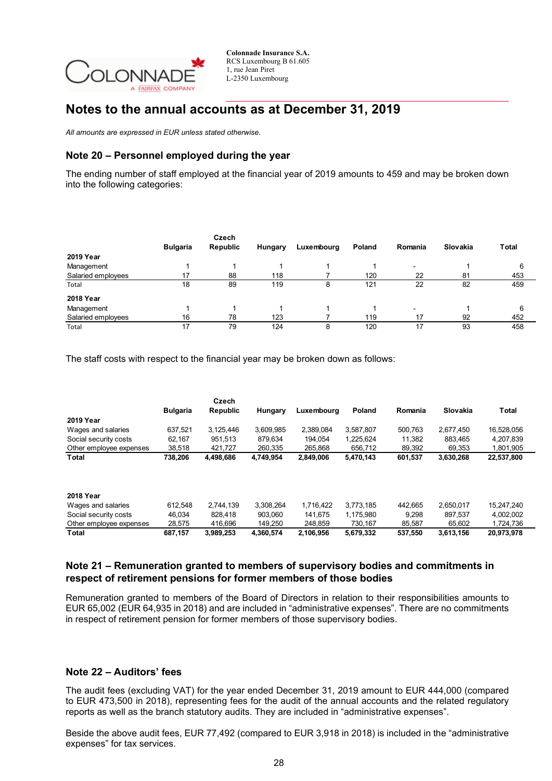

## **Notes to the annual accounts as at December 31, 2019**

*All amounts are expressed in EUR unless stated otherwise.*

## **Note 20 – Personnel employed during the year**

The ending number of staff employed at the financial year of 2019 amounts to 459 and may be broken down into the following categories:

|                    |                 | Czech           |         |            |        |                          |          |              |
|--------------------|-----------------|-----------------|---------|------------|--------|--------------------------|----------|--------------|
|                    | <b>Bulgaria</b> | <b>Republic</b> | Hungary | Luxembourg | Poland | Romania                  | Slovakia | <b>Total</b> |
| <b>2019 Year</b>   |                 |                 |         |            |        |                          |          |              |
| Management         |                 |                 |         |            |        | $\overline{\phantom{a}}$ |          | 6            |
| Salaried employees | 17              | 88              | 118     |            | 120    | 22                       | 81       | 453          |
| Total              | 18              | 89              | 119     | 8          | 121    | 22                       | 82       | 459          |
| <b>2018 Year</b>   |                 |                 |         |            |        |                          |          |              |
| Management         |                 |                 |         |            |        | $\overline{\phantom{a}}$ |          | 6            |
| Salaried employees | 16              | 78              | 123     |            | 119    | 17                       | 92       | 452          |
| Total              | 17              | 79              | 124     | 8          | 120    | 17                       | 93       | 458          |

The staff costs with respect to the financial year may be broken down as follows:

|                         | <b>Bulgaria</b> | Czech<br><b>Republic</b> | Hungary   | Luxembourg | Poland    | Romania | Slovakia  | <b>Total</b> |
|-------------------------|-----------------|--------------------------|-----------|------------|-----------|---------|-----------|--------------|
| <b>2019 Year</b>        |                 |                          |           |            |           |         |           |              |
| Wages and salaries      | 637.521         | 3,125,446                | 3,609,985 | 2.389.084  | 3,587,807 | 500.763 | 2.677.450 | 16,528,056   |
| Social security costs   | 62.167          | 951.513                  | 879.634   | 194.054    | 1.225.624 | 11,382  | 883.465   | 4,207,839    |
| Other employee expenses | 38.518          | 421.727                  | 260.335   | 265.868    | 656.712   | 89,392  | 69.353    | 1.801.905    |
| <b>Total</b>            | 738,206         | 4,498,686                | 4.749.954 | 2,849,006  | 5,470,143 | 601,537 | 3,630,268 | 22,537,800   |
| <b>2018 Year</b>        |                 |                          |           |            |           |         |           |              |
| Wages and salaries      | 612.548         | 2.744.139                | 3.308.264 | 1.716.422  | 3.773.185 | 442.665 | 2.650.017 | 15.247.240   |
| Social security costs   | 46.034          | 828.418                  | 903.060   | 141.675    | 1.175.980 | 9.298   | 897.537   | 4.002.002    |
| Other employee expenses | 28,575          | 416.696                  | 149.250   | 248.859    | 730.167   | 85,587  | 65.602    | 1.724.736    |
| <b>Total</b>            | 687,157         | 3,989,253                | 4.360.574 | 2,106,956  | 5,679,332 | 537,550 | 3,613,156 | 20.973.978   |

### **Note 21 – Remuneration granted to members of supervisory bodies and commitments in respect of retirement pensions for former members of those bodies**

Remuneration granted to members of the Board of Directors in relation to their responsibilities amounts to EUR 65,002 (EUR 64,935 in 2018) and are included in "administrative expenses". There are no commitments in respect of retirement pension for former members of those supervisory bodies.

### **Note 22 – Auditors' fees**

The audit fees (excluding VAT) for the year ended December 31, 2019 amount to EUR 444,000 (compared to EUR 473,500 in 2018), representing fees for the audit of the annual accounts and the related regulatory reports as well as the branch statutory audits. They are included in "administrative expenses".

Beside the above audit fees, EUR 77,492 (compared to EUR 3,918 in 2018) is included in the "administrative expenses" for tax services.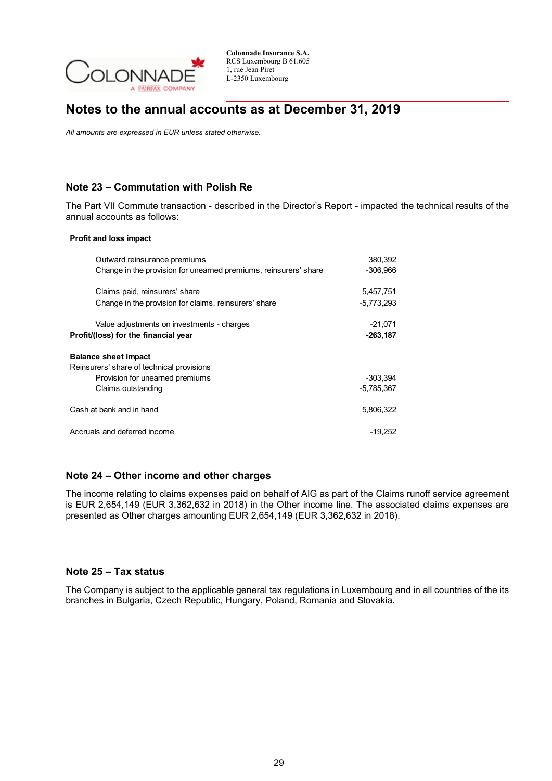

## **Notes to the annual accounts as at December 31, 2019**

*All amounts are expressed in EUR unless stated otherwise.*

## **Note 23 – Commutation with Polish Re**

The Part VII Commute transaction - described in the Director's Report - impacted the technical results of the annual accounts as follows:

#### **Profit and loss impact**

| Outward reinsurance premiums                                                                                                      | 380,392                    |
|-----------------------------------------------------------------------------------------------------------------------------------|----------------------------|
| Change in the provision for unearned premiums, reinsurers' share                                                                  | $-306,966$                 |
| Claims paid, reinsurers' share                                                                                                    | 5.457.751                  |
| Change in the provision for claims, reinsurers' share                                                                             | $-5,773,293$               |
| Value adjustments on investments - charges                                                                                        | $-21.071$                  |
| Profit/(loss) for the financial year                                                                                              | $-263,187$                 |
| <b>Balance sheet impact</b><br>Reinsurers' share of technical provisions<br>Provision for unearned premiums<br>Claims outstanding | $-303.394$<br>$-5,785,367$ |
| Cash at bank and in hand                                                                                                          | 5.806.322                  |
| Accruals and deferred income                                                                                                      | -19.252                    |

### **Note 24 – Other income and other charges**

The income relating to claims expenses paid on behalf of AIG as part of the Claims runoff service agreement is EUR 2,654,149 (EUR 3,362,632 in 2018) in the Other income line. The associated claims expenses are presented as Other charges amounting EUR 2,654,149 (EUR 3,362,632 in 2018).

### **Note 25 – Tax status**

The Company is subject to the applicable general tax regulations in Luxembourg and in all countries of the its branches in Bulgaria, Czech Republic, Hungary, Poland, Romania and Slovakia.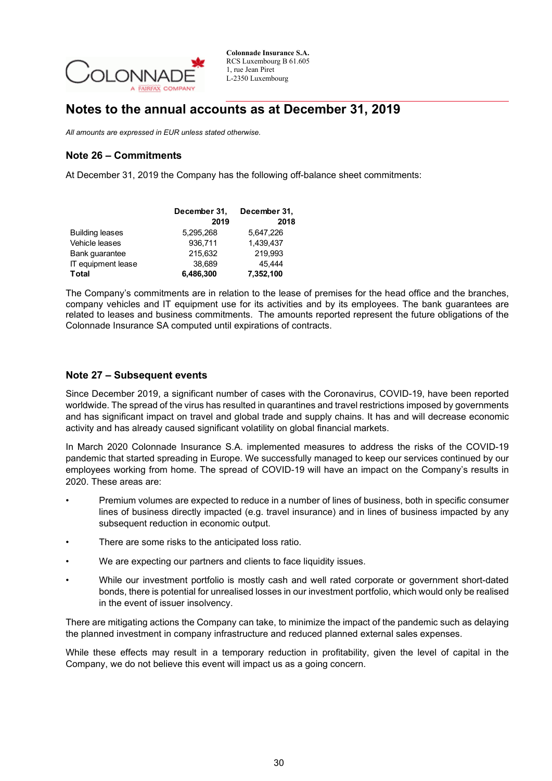

## **Notes to the annual accounts as at December 31, 2019**

*All amounts are expressed in EUR unless stated otherwise.*

## **Note 26 – Commitments**

At December 31, 2019 the Company has the following off-balance sheet commitments:

|                        | December 31, | December 31, |
|------------------------|--------------|--------------|
|                        | 2019         | 2018         |
| <b>Building leases</b> | 5.295.268    | 5.647.226    |
| Vehicle leases         | 936.711      | 1.439.437    |
| Bank quarantee         | 215,632      | 219.993      |
| IT equipment lease     | 38.689       | 45.444       |
| <b>Total</b>           | 6,486,300    | 7,352,100    |

The Company's commitments are in relation to the lease of premises for the head office and the branches, company vehicles and IT equipment use for its activities and by its employees. The bank guarantees are related to leases and business commitments. The amounts reported represent the future obligations of the Colonnade Insurance SA computed until expirations of contracts.

### **Note 27 – Subsequent events**

Since December 2019, a significant number of cases with the Coronavirus, COVID-19, have been reported worldwide. The spread of the virus has resulted in quarantines and travel restrictions imposed by governments and has significant impact on travel and global trade and supply chains. It has and will decrease economic activity and has already caused significant volatility on global financial markets.

In March 2020 Colonnade Insurance S.A. implemented measures to address the risks of the COVID-19 pandemic that started spreading in Europe. We successfully managed to keep our services continued by our employees working from home. The spread of COVID-19 will have an impact on the Company's results in 2020. These areas are:

- Premium volumes are expected to reduce in a number of lines of business, both in specific consumer lines of business directly impacted (e.g. travel insurance) and in lines of business impacted by any subsequent reduction in economic output.
- There are some risks to the anticipated loss ratio.
- We are expecting our partners and clients to face liquidity issues.
- While our investment portfolio is mostly cash and well rated corporate or government short-dated bonds, there is potential for unrealised losses in our investment portfolio, which would only be realised in the event of issuer insolvency.

There are mitigating actions the Company can take, to minimize the impact of the pandemic such as delaying the planned investment in company infrastructure and reduced planned external sales expenses.

While these effects may result in a temporary reduction in profitability, given the level of capital in the Company, we do not believe this event will impact us as a going concern.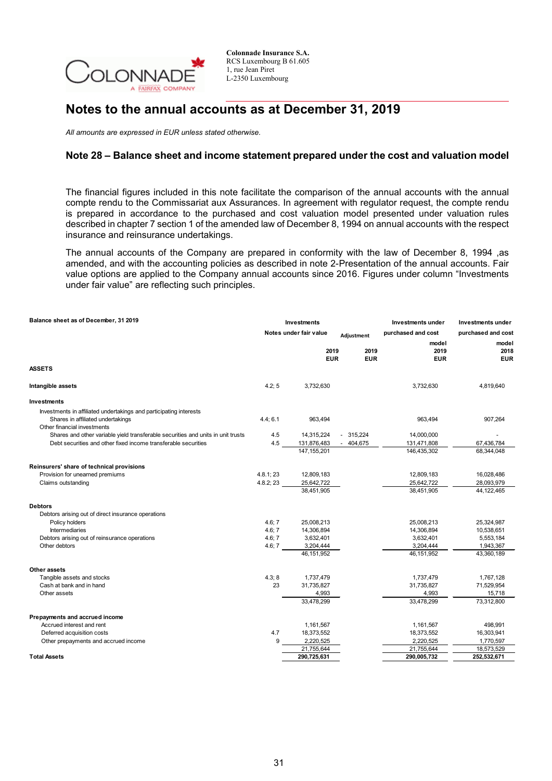

## **Notes to the annual accounts as at December 31, 2019**

*All amounts are expressed in EUR unless stated otherwise.*

### **Note 28 – Balance sheet and income statement prepared under the cost and valuation model**

The financial figures included in this note facilitate the comparison of the annual accounts with the annual compte rendu to the Commissariat aux Assurances. In agreement with regulator request, the compte rendu is prepared in accordance to the purchased and cost valuation model presented under valuation rules described in chapter 7 section 1 of the amended law of December 8, 1994 on annual accounts with the respect insurance and reinsurance undertakings.

The annual accounts of the Company are prepared in conformity with the law of December 8, 1994 ,as amended, and with the accounting policies as described in note 2-Presentation of the annual accounts. Fair value options are applied to the Company annual accounts since 2016. Figures under column "Investments under fair value" are reflecting such principles.

| Balance sheet as of December, 31 2019                                            |                                      | Investments        |                    | Investments under  | Investments under  |
|----------------------------------------------------------------------------------|--------------------------------------|--------------------|--------------------|--------------------|--------------------|
|                                                                                  | Notes under fair value<br>Adjustment |                    | purchased and cost | purchased and cost |                    |
|                                                                                  |                                      |                    |                    | model              | model              |
|                                                                                  |                                      | 2019<br><b>EUR</b> | 2019<br><b>EUR</b> | 2019<br>EUR        | 2018<br><b>EUR</b> |
| <b>ASSETS</b>                                                                    |                                      |                    |                    |                    |                    |
| Intangible assets                                                                | 4.2:5                                | 3,732,630          |                    | 3,732,630          | 4,819,640          |
| Investments                                                                      |                                      |                    |                    |                    |                    |
| Investments in affiliated undertakings and participating interests               |                                      |                    |                    |                    |                    |
| Shares in affiliated undertakings<br>Other financial investments                 | 4.4; 6.1                             | 963,494            |                    | 963,494            | 907,264            |
| Shares and other variable yield transferable securities and units in unit trusts | 4.5                                  | 14,315,224         | $-315,224$         | 14,000,000         |                    |
| Debt securities and other fixed income transferable securities                   | 4.5                                  | 131,876,483        | $-404,675$         | 131,471,808        | 67,436,784         |
|                                                                                  |                                      | 147, 155, 201      |                    | 146,435,302        | 68,344,048         |
| Reinsurers' share of technical provisions                                        |                                      |                    |                    |                    |                    |
| Provision for unearned premiums                                                  | 4.8.1; 23                            | 12,809,183         |                    | 12,809,183         | 16,028,486         |
| Claims outstanding                                                               | 4.8.2; 23                            | 25,642,722         |                    | 25,642,722         | 28,093,979         |
|                                                                                  |                                      | 38,451,905         |                    | 38,451,905         | 44,122,465         |
| <b>Debtors</b>                                                                   |                                      |                    |                    |                    |                    |
| Debtors arising out of direct insurance operations                               |                                      |                    |                    |                    |                    |
| Policy holders                                                                   | 4.6; 7                               | 25,008,213         |                    | 25,008,213         | 25,324,987         |
| <b>Intermediaries</b>                                                            | 4.6; 7                               | 14,306,894         |                    | 14,306,894         | 10,538,651         |
| Debtors arising out of reinsurance operations                                    | 4.6; 7                               | 3,632,401          |                    | 3,632,401          | 5,553,184          |
| Other debtors                                                                    | 4.6; 7                               | 3,204,444          |                    | 3,204,444          | 1,943,367          |
|                                                                                  |                                      | 46, 151, 952       |                    | 46, 151, 952       | 43,360,189         |
| Other assets                                                                     |                                      |                    |                    |                    |                    |
| Tangible assets and stocks                                                       | 4.3;8                                | 1,737,479          |                    | 1,737,479          | 1,767,128          |
| Cash at bank and in hand                                                         | 23                                   | 31,735,827         |                    | 31,735,827         | 71,529,954         |
| Other assets                                                                     |                                      | 4,993              |                    | 4,993              | 15,718             |
|                                                                                  |                                      | 33,478,299         |                    | 33,478,299         | 73,312,800         |
| Prepayments and accrued income                                                   |                                      |                    |                    |                    |                    |
| Accrued interest and rent                                                        |                                      | 1,161,567          |                    | 1,161,567          | 498,991            |
| Deferred acquisition costs                                                       | 4.7                                  | 18,373,552         |                    | 18,373,552         | 16,303,941         |
| Other prepayments and accrued income                                             | 9                                    | 2,220,525          |                    | 2,220,525          | 1,770,597          |
|                                                                                  |                                      | 21,755,644         |                    | 21,755,644         | 18,573,529         |
| <b>Total Assets</b>                                                              |                                      | 290,725,631        |                    | 290,005,732        | 252,532,671        |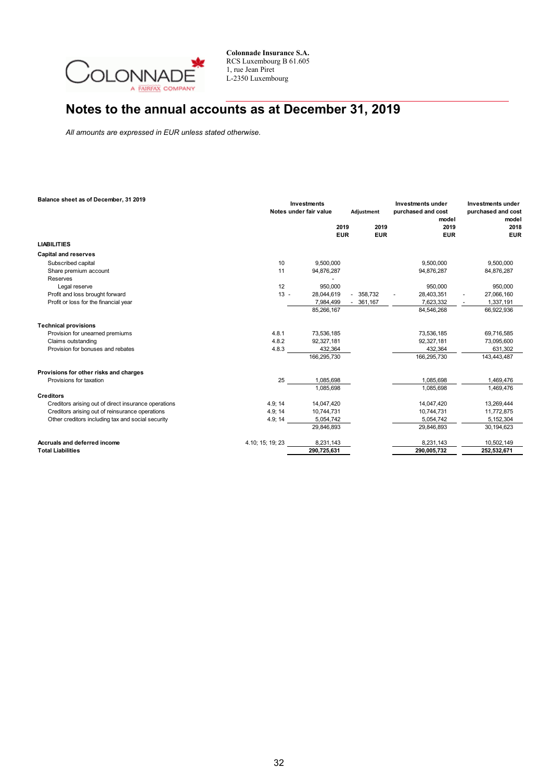

# **Notes to the annual accounts as at December 31, 2019**

*All amounts are expressed in EUR unless stated otherwise.*

| Balance sheet as of December, 31 2019                |                  | Investments<br>Notes under fair value |                    | Adjustment         | Investments under<br>purchased and cost<br>model | Investments under<br>purchased and cost<br>model |  |
|------------------------------------------------------|------------------|---------------------------------------|--------------------|--------------------|--------------------------------------------------|--------------------------------------------------|--|
|                                                      |                  |                                       | 2019<br><b>EUR</b> | 2019<br><b>EUR</b> | 2019<br><b>EUR</b>                               | 2018<br><b>EUR</b>                               |  |
| <b>LIABILITIES</b>                                   |                  |                                       |                    |                    |                                                  |                                                  |  |
| <b>Capital and reserves</b>                          |                  |                                       |                    |                    |                                                  |                                                  |  |
| Subscribed capital                                   | 10               | 9.500.000                             |                    |                    | 9.500.000                                        | 9,500,000                                        |  |
| Share premium account                                | 11               | 94,876,287                            |                    |                    | 94,876,287                                       | 84,876,287                                       |  |
| Reserves                                             |                  |                                       |                    |                    |                                                  |                                                  |  |
| Legal reserve                                        | 12               | 950,000                               |                    |                    | 950.000                                          | 950,000                                          |  |
| Profit and loss brought forward                      | $13 -$           | 28,044,619                            |                    | $-358.732$         | 28,403,351                                       | 27,066,160<br>$\blacksquare$                     |  |
| Profit or loss for the financial year                |                  | 7,984,499                             |                    | $-361,167$         | 7,623,332                                        | 1,337,191                                        |  |
|                                                      |                  | 85,266,167                            |                    |                    | 84,546,268                                       | 66,922,936                                       |  |
| <b>Technical provisions</b>                          |                  |                                       |                    |                    |                                                  |                                                  |  |
| Provision for unearned premiums                      | 4.8.1            | 73,536,185                            |                    |                    | 73,536,185                                       | 69,716,585                                       |  |
| Claims outstanding                                   | 4.8.2            | 92,327,181                            |                    |                    | 92,327,181                                       | 73,095,600                                       |  |
| Provision for bonuses and rebates                    | 4.8.3            | 432,364                               |                    |                    | 432,364                                          | 631,302                                          |  |
|                                                      |                  | 166,295,730                           |                    |                    | 166,295,730                                      | 143,443,487                                      |  |
| Provisions for other risks and charges               |                  |                                       |                    |                    |                                                  |                                                  |  |
| Provisions for taxation                              | 25               | 1,085,698                             |                    |                    | 1,085,698                                        | 1,469,476                                        |  |
|                                                      |                  | 1.085.698                             |                    |                    | 1,085,698                                        | 1,469,476                                        |  |
| <b>Creditors</b>                                     |                  |                                       |                    |                    |                                                  |                                                  |  |
| Creditors arising out of direct insurance operations | 4.9; 14          | 14,047,420                            |                    |                    | 14,047,420                                       | 13,269,444                                       |  |
| Creditors arising out of reinsurance operations      | 4.9; 14          | 10,744,731                            |                    |                    | 10,744,731                                       | 11,772,875                                       |  |
| Other creditors including tax and social security    | 4.9; 14          | 5.054.742                             |                    |                    | 5,054,742                                        | 5,152,304                                        |  |
|                                                      |                  | 29,846,893                            |                    |                    | 29,846,893                                       | 30,194,623                                       |  |
| Accruals and deferred income                         | 4.10; 15; 19; 23 | 8,231,143                             |                    |                    | 8,231,143                                        | 10,502,149                                       |  |
| <b>Total Liabilities</b>                             |                  | 290.725.631                           |                    |                    | 290,005,732                                      | 252,532,671                                      |  |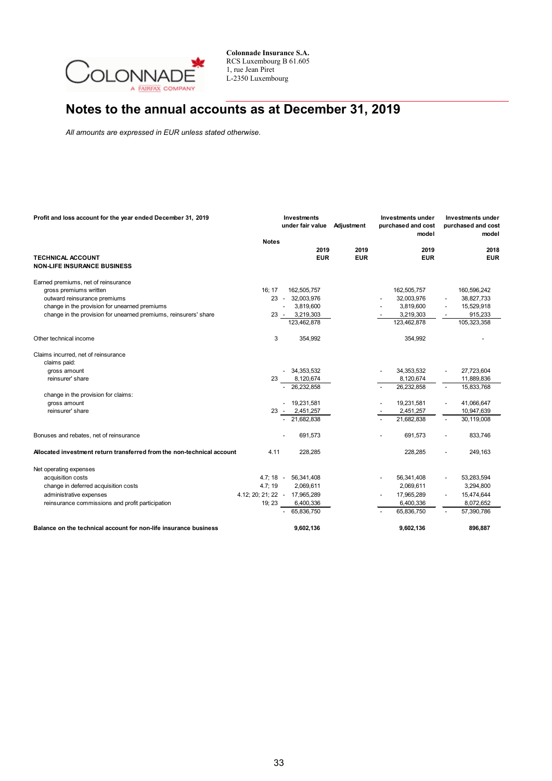

# **Notes to the annual accounts as at December 31, 2019**

*All amounts are expressed in EUR unless stated otherwise.*

| Profit and loss account for the year ended December 31, 2019           |                                 | <b>Investments</b><br>under fair value |                      | Adjustment         | Investments under<br>purchased and cost<br>model |                    | Investments under<br>purchased and cost<br>model |                    |  |
|------------------------------------------------------------------------|---------------------------------|----------------------------------------|----------------------|--------------------|--------------------------------------------------|--------------------|--------------------------------------------------|--------------------|--|
|                                                                        | <b>Notes</b>                    |                                        |                      |                    |                                                  |                    |                                                  |                    |  |
| <b>TECHNICAL ACCOUNT</b><br><b>NON-LIFE INSURANCE BUSINESS</b>         |                                 |                                        | 2019<br><b>EUR</b>   | 2019<br><b>EUR</b> |                                                  | 2019<br><b>EUR</b> |                                                  | 2018<br><b>EUR</b> |  |
| Earned premiums, net of reinsurance                                    |                                 |                                        |                      |                    |                                                  |                    |                                                  |                    |  |
| gross premiums written                                                 | 16; 17                          |                                        | 162,505,757          |                    |                                                  | 162,505,757        |                                                  | 160,596,242        |  |
| outward reinsurance premiums                                           |                                 |                                        | 23 - 32,003,976      |                    |                                                  | 32,003,976         |                                                  | 38,827,733         |  |
| change in the provision for unearned premiums                          |                                 | $\blacksquare$                         | 3,819,600            |                    |                                                  | 3,819,600          |                                                  | 15,529,918         |  |
| change in the provision for unearned premiums, reinsurers' share       |                                 | $23 -$                                 | 3,219,303            |                    |                                                  | 3,219,303          |                                                  | 915,233            |  |
|                                                                        |                                 |                                        | 123,462,878          |                    |                                                  | 123,462,878        |                                                  | 105,323,358        |  |
| Other technical income                                                 | 3                               |                                        | 354,992              |                    |                                                  | 354,992            |                                                  |                    |  |
| Claims incurred, net of reinsurance                                    |                                 |                                        |                      |                    |                                                  |                    |                                                  |                    |  |
| claims paid:                                                           |                                 |                                        |                      |                    |                                                  |                    |                                                  |                    |  |
| gross amount                                                           |                                 |                                        | $-34,353,532$        |                    |                                                  | 34,353,532         |                                                  | 27,723,604         |  |
| reinsurer' share                                                       | 23                              |                                        | 8,120,674            |                    |                                                  | 8,120,674          |                                                  | 11,889,836         |  |
|                                                                        |                                 |                                        | 26,232,858           |                    |                                                  | 26,232,858         |                                                  | 15,833,768         |  |
| change in the provision for claims:                                    |                                 |                                        |                      |                    |                                                  |                    |                                                  |                    |  |
| gross amount                                                           |                                 |                                        | $-19,231,581$        |                    |                                                  | 19,231,581         |                                                  | 41,066,647         |  |
| reinsurer' share                                                       |                                 |                                        | 23 - 2,451,257       |                    |                                                  | 2,451,257          |                                                  | 10,947,639         |  |
|                                                                        |                                 |                                        | $-21,682,838$        |                    |                                                  | 21,682,838         | $\overline{\phantom{a}}$                         | 30,119,008         |  |
| Bonuses and rebates, net of reinsurance                                |                                 |                                        | 691,573              |                    |                                                  | 691,573            |                                                  | 833,746            |  |
| Allocated investment return transferred from the non-technical account | 4.11                            |                                        | 228,285              |                    |                                                  | 228,285            |                                                  | 249,163            |  |
| Net operating expenses                                                 |                                 |                                        |                      |                    |                                                  |                    |                                                  |                    |  |
| acquisition costs                                                      |                                 |                                        | 4.7; 18 - 56,341,408 |                    |                                                  | 56,341,408         |                                                  | 53,283,594         |  |
| change in deferred acquisition costs                                   | 4.7; 19                         |                                        | 2,069,611            |                    |                                                  | 2,069,611          |                                                  | 3,294,800          |  |
| administrative expenses                                                | 4.12, 20, 21, 22 - 17, 965, 289 |                                        |                      |                    |                                                  | 17,965,289         |                                                  | 15,474,644         |  |
| reinsurance commissions and profit participation                       | 19; 23                          |                                        | 6,400,336            |                    |                                                  | 6,400,336          |                                                  | 8,072,652          |  |
|                                                                        |                                 |                                        | 65,836,750           |                    |                                                  | 65,836,750         |                                                  | 57,390,786         |  |
| Balance on the technical account for non-life insurance business       |                                 |                                        | 9,602,136            |                    |                                                  | 9,602,136          |                                                  | 896,887            |  |